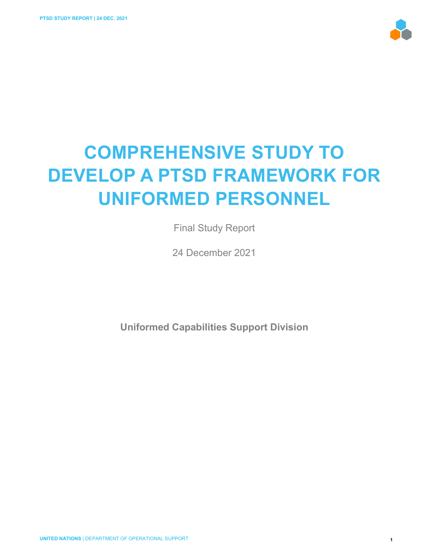

# **COMPREHENSIVE STUDY TO DEVELOP A PTSD FRAMEWORK FOR UNIFORMED PERSONNEL**

Final Study Report

24 December 2021

**Uniformed Capabilities Support Division**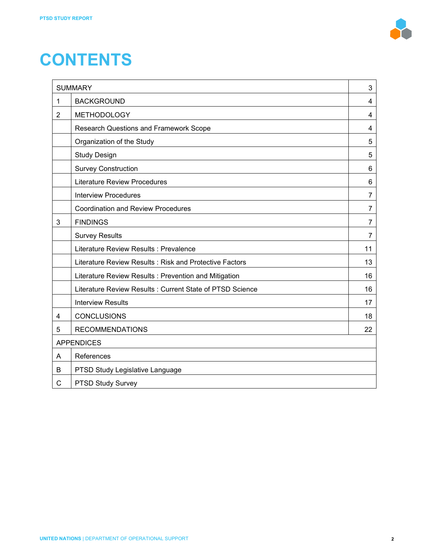

# **CONTENTS**

| <b>SUMMARY</b>  |                                                          |                |  |  |  |
|-----------------|----------------------------------------------------------|----------------|--|--|--|
| 1               | <b>BACKGROUND</b>                                        |                |  |  |  |
| $\overline{2}$  | <b>METHODOLOGY</b>                                       | 4              |  |  |  |
|                 | Research Questions and Framework Scope                   | 4              |  |  |  |
|                 | Organization of the Study                                | 5              |  |  |  |
|                 | <b>Study Design</b>                                      | 5              |  |  |  |
|                 | <b>Survey Construction</b>                               | 6              |  |  |  |
|                 | <b>Literature Review Procedures</b>                      | 6              |  |  |  |
|                 | <b>Interview Procedures</b>                              | 7              |  |  |  |
|                 | <b>Coordination and Review Procedures</b>                | 7              |  |  |  |
| 3               | <b>FINDINGS</b>                                          | $\overline{7}$ |  |  |  |
|                 | <b>Survey Results</b>                                    | 7              |  |  |  |
|                 | Literature Review Results: Prevalence                    | 11             |  |  |  |
|                 | Literature Review Results: Risk and Protective Factors   | 13             |  |  |  |
|                 | Literature Review Results: Prevention and Mitigation     | 16             |  |  |  |
|                 | Literature Review Results: Current State of PTSD Science | 16             |  |  |  |
|                 | <b>Interview Results</b>                                 | 17             |  |  |  |
| 4               | <b>CONCLUSIONS</b>                                       | 18             |  |  |  |
| 5               | <b>RECOMMENDATIONS</b>                                   | 22             |  |  |  |
|                 | <b>APPENDICES</b>                                        |                |  |  |  |
| References<br>A |                                                          |                |  |  |  |
| В               | PTSD Study Legislative Language                          |                |  |  |  |
| C               | PTSD Study Survey                                        |                |  |  |  |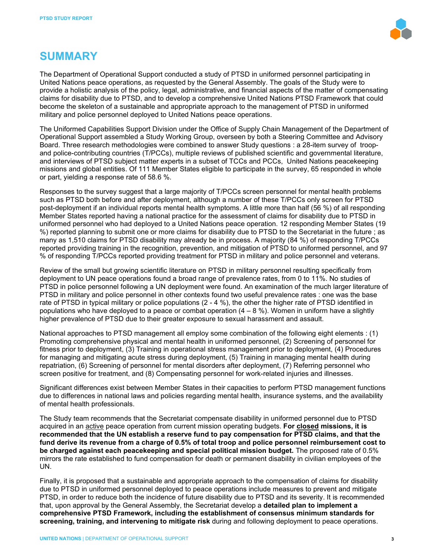

# **SUMMARY**

The Department of Operational Support conducted a study of PTSD in uniformed personnel participating in United Nations peace operations, as requested by the General Assembly. The goals of the Study were to provide a holistic analysis of the policy, legal, administrative, and financial aspects of the matter of compensating claims for disability due to PTSD, and to develop a comprehensive United Nations PTSD Framework that could become the skeleton of a sustainable and appropriate approach to the management of PTSD in uniformed military and police personnel deployed to United Nations peace operations.

The Uniformed Capabilities Support Division under the Office of Supply Chain Management of the Department of Operational Support assembled a Study Working Group, overseen by both a Steering Committee and Advisory Board. Three research methodologies were combined to answer Study questions : a 28-item survey of troopand police-contributing countries (T/PCCs), multiple reviews of published scientific and governmental literature, and interviews of PTSD subject matter experts in a subset of TCCs and PCCs, United Nations peacekeeping missions and global entities. Of 111 Member States eligible to participate in the survey, 65 responded in whole or part, yielding a response rate of 58.6 %.

Responses to the survey suggest that a large majority of T/PCCs screen personnel for mental health problems such as PTSD both before and after deployment, although a number of these T/PCCs only screen for PTSD post-deployment if an individual reports mental health symptoms. A little more than half (56 %) of all responding Member States reported having a national practice for the assessment of claims for disability due to PTSD in uniformed personnel who had deployed to a United Nations peace operation. 12 responding Member States (19 %) reported planning to submit one or more claims for disability due to PTSD to the Secretariat in the future ; as many as 1,510 claims for PTSD disability may already be in process. A majority (84 %) of responding T/PCCs reported providing training in the recognition, prevention, and mitigation of PTSD to uniformed personnel, and 97 % of responding T/PCCs reported providing treatment for PTSD in military and police personnel and veterans.

Review of the small but growing scientific literature on PTSD in military personnel resulting specifically from deployment to UN peace operations found a broad range of prevalence rates, from 0 to 11%. No studies of PTSD in police personnel following a UN deployment were found. An examination of the much larger literature of PTSD in military and police personnel in other contexts found two useful prevalence rates : one was the base rate of PTSD in typical military or police populations (2 - 4 %), the other the higher rate of PTSD identified in populations who have deployed to a peace or combat operation  $(4 - 8 \%)$ . Women in uniform have a slightly higher prevalence of PTSD due to their greater exposure to sexual harassment and assault.

National approaches to PTSD management all employ some combination of the following eight elements : (1) Promoting comprehensive physical and mental health in uniformed personnel, (2) Screening of personnel for fitness prior to deployment, (3) Training in operational stress management prior to deployment, (4) Procedures for managing and mitigating acute stress during deployment, (5) Training in managing mental health during repatriation, (6) Screening of personnel for mental disorders after deployment, (7) Referring personnel who screen positive for treatment, and (8) Compensating personnel for work-related injuries and illnesses.

Significant differences exist between Member States in their capacities to perform PTSD management functions due to differences in national laws and policies regarding mental health, insurance systems, and the availability of mental health professionals.

The Study team recommends that the Secretariat compensate disability in uniformed personnel due to PTSD acquired in an active peace operation from current mission operating budgets. **For closed missions, it is recommended that the UN establish a reserve fund to pay compensation for PTSD claims, and that the fund derive its revenue from a charge of 0.5% of total troop and police personnel reimbursement cost to be charged against each peacekeeping and special political mission budget.** The proposed rate of 0.5% mirrors the rate established to fund compensation for death or permanent disability in civilian employees of the UN.

Finally, it is proposed that a sustainable and appropriate approach to the compensation of claims for disability due to PTSD in uniformed personnel deployed to peace operations include measures to prevent and mitigate PTSD, in order to reduce both the incidence of future disability due to PTSD and its severity. It is recommended that, upon approval by the General Assembly, the Secretariat develop a **detailed plan to implement a comprehensive PTSD Framework, including the establishment of consensus minimum standards for screening, training, and intervening to mitigate risk** during and following deployment to peace operations.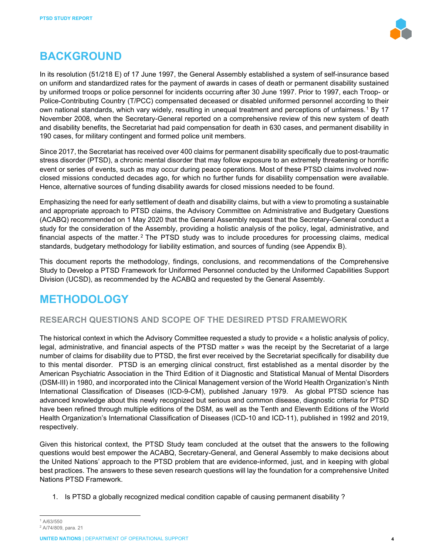

# **BACKGROUND**

In its resolution (51/218 E) of 17 June 1997, the General Assembly established a system of self-insurance based on uniform and standardized rates for the payment of awards in cases of death or permanent disability sustained by uniformed troops or police personnel for incidents occurring after 30 June 1997. Prior to 1997, each Troop- or Police-Contributing Country (T/PCC) compensated deceased or disabled uniformed personnel according to their own national standards, which vary widely, resulting in unequal treatment and perceptions of unfairness.[1](#page-3-0) By 17 November 2008, when the Secretary-General reported on a comprehensive review of this new system of death and disability benefits, the Secretariat had paid compensation for death in 630 cases, and permanent disability in 190 cases, for military contingent and formed police unit members.

Since 2017, the Secretariat has received over 400 claims for permanent disability specifically due to post-traumatic stress disorder (PTSD), a chronic mental disorder that may follow exposure to an extremely threatening or horrific event or series of events, such as may occur during peace operations. Most of these PTSD claims involved nowclosed missions conducted decades ago, for which no further funds for disability compensation were available. Hence, alternative sources of funding disability awards for closed missions needed to be found.

Emphasizing the need for early settlement of death and disability claims, but with a view to promoting a sustainable and appropriate approach to PTSD claims, the Advisory Committee on Administrative and Budgetary Questions (ACABQ) recommended on 1 May 2020 that the General Assembly request that the Secretary-General conduct a study for the consideration of the Assembly, providing a holistic analysis of the policy, legal, administrative, and financial aspects of the matter.<sup>[2](#page-3-1)</sup> The PTSD study was to include procedures for processing claims, medical standards, budgetary methodology for liability estimation, and sources of funding (see Appendix B).

This document reports the methodology, findings, conclusions, and recommendations of the Comprehensive Study to Develop a PTSD Framework for Uniformed Personnel conducted by the Uniformed Capabilities Support Division (UCSD), as recommended by the ACABQ and requested by the General Assembly.

# **METHODOLOGY**

# **RESEARCH QUESTIONS AND SCOPE OF THE DESIRED PTSD FRAMEWORK**

The historical context in which the Advisory Committee requested a study to provide « a holistic analysis of policy, legal, administrative, and financial aspects of the PTSD matter » was the receipt by the Secretariat of a large number of claims for disability due to PTSD, the first ever received by the Secretariat specifically for disability due to this mental disorder. PTSD is an emerging clinical construct, first established as a mental disorder by the American Psychiatric Association in the Third Edition of it Diagnostic and Statistical Manual of Mental Disorders (DSM-III) in 1980, and incorporated into the Clinical Management version of the World Health Organization's Ninth International Classification of Diseases (ICD-9-CM), published January 1979. As global PTSD science has advanced knowledge about this newly recognized but serious and common disease, diagnostic criteria for PTSD have been refined through multiple editions of the DSM, as well as the Tenth and Eleventh Editions of the World Health Organization's International Classification of Diseases (ICD-10 and ICD-11), published in 1992 and 2019, respectively.

Given this historical context, the PTSD Study team concluded at the outset that the answers to the following questions would best empower the ACABQ, Secretary-General, and General Assembly to make decisions about the United Nations' approach to the PTSD problem that are evidence-informed, just, and in keeping with global best practices. The answers to these seven research questions will lay the foundation for a comprehensive United Nations PTSD Framework.

1. Is PTSD a globally recognized medical condition capable of causing permanent disability ?

<sup>1</sup> A/63/550

<span id="page-3-1"></span><span id="page-3-0"></span><sup>2</sup> A/74/809, para. 21

**UNITED NATIONS** | DEPARTMENT OF OPERATIONAL SUPPORT **4**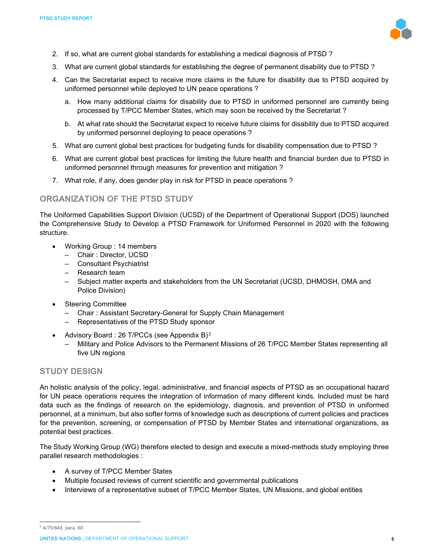

- 2. If so, what are current global standards for establishing a medical diagnosis of PTSD ?
- 3. What are current global standards for establishing the degree of permanent disability due to PTSD ?
- 4. Can the Secretariat expect to receive more claims in the future for disability due to PTSD acquired by uniformed personnel while deployed to UN peace operations ?
	- a. How many additional claims for disability due to PTSD in uniformed personnel are currently being processed by T/PCC Member States, which may soon be received by the Secretariat ?
	- b. At what rate should the Secretariat expect to receive future claims for disability due to PTSD acquired by uniformed personnel deploying to peace operations ?
- 5. What are current global best practices for budgeting funds for disability compensation due to PTSD ?
- 6. What are current global best practices for limiting the future health and financial burden due to PTSD in uniformed personnel through measures for prevention and mitigation ?
- 7. What role, if any, does gender play in risk for PTSD in peace operations ?

#### **ORGANIZATION OF THE PTSD STUDY**

The Uniformed Capabilities Support Division (UCSD) of the Department of Operational Support (DOS) launched the Comprehensive Study to Develop a PTSD Framework for Uniformed Personnel in 2020 with the following structure.

- Working Group : 14 members
	- Chair : Director, UCSD
	- Consultant Psychiatrist
	- Research team
	- Subject matter experts and stakeholders from the UN Secretariat (UCSD, DHMOSH, OMA and Police Division)
- Steering Committee
	- Chair : Assistant Secretary-General for Supply Chain Management
	- Representatives of the PTSD Study sponsor
- Advisory Board : 26 T/PCCs (see Appendix B) $3$ 
	- Military and Police Advisors to the Permanent Missions of 26 T/PCC Member States representing all five UN regions

#### **STUDY DESIGN**

An holistic analysis of the policy, legal, administrative, and financial aspects of PTSD as an occupational hazard for UN peace operations requires the integration of information of many different kinds. Included must be hard data such as the findings of research on the epidemiology, diagnosis, and prevention of PTSD in uniformed personnel, at a minimum, but also softer forms of knowledge such as descriptions of current policies and practices for the prevention, screening, or compensation of PTSD by Member States and international organizations, as potential best practices.

The Study Working Group (WG) therefore elected to design and execute a mixed-methods study employing three parallel research methodologies :

- A survey of T/PCC Member States
- Multiple focused reviews of current scientific and governmental publications
- Interviews of a representative subset of T/PCC Member States, UN Missions, and global entities

<span id="page-4-0"></span><sup>3</sup> A/75/849, para. 60

**UNITED NATIONS** | DEPARTMENT OF OPERATIONAL SUPPORT **5**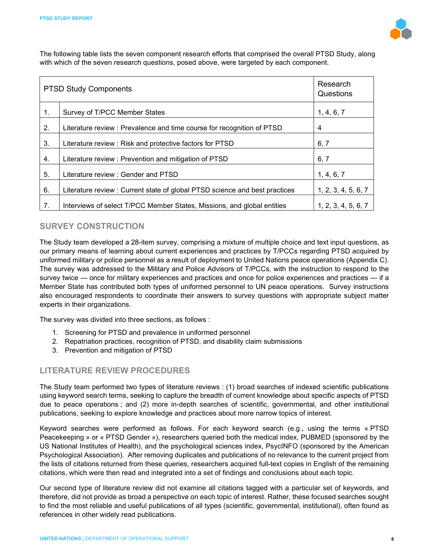

The following table lists the seven component research efforts that comprised the overall PTSD Study, along with which of the seven research questions, posed above, were targeted by each component.

| <b>PTSD Study Components</b> | Research<br>Questions                                                       |                     |
|------------------------------|-----------------------------------------------------------------------------|---------------------|
| 1.                           | Survey of T/PCC Member States                                               | 1, 4, 6, 7          |
| 2.                           | Literature review : Prevalence and time course for recognition of PTSD      | 4                   |
| 3.                           | Literature review: Risk and protective factors for PTSD                     | 6, 7                |
| 4.                           | Literature review : Prevention and mitigation of PTSD                       | 6, 7                |
| 5.                           | Literature review : Gender and PTSD                                         | 1, 4, 6, 7          |
| 6.                           | Literature review : Current state of global PTSD science and best practices | 1, 2, 3, 4, 5, 6, 7 |
| 7.                           | Interviews of select T/PCC Member States, Missions, and global entities     | 1, 2, 3, 4, 5, 6, 7 |

## **SURVEY CONSTRUCTION**

The Study team developed a 28-item survey, comprising a mixture of multiple choice and text input questions, as our primary means of learning about current experiences and practices by T/PCCs regarding PTSD acquired by uniformed military or police personnel as a result of deployment to United Nations peace operations (Appendix C). The survey was addressed to the Military and Police Advisors of T/PCCs, with the instruction to respond to the survey twice — once for military experiences and practices and once for police experiences and practices — if a Member State has contributed both types of uniformed personnel to UN peace operations. Survey instructions also encouraged respondents to coordinate their answers to survey questions with appropriate subject matter experts in their organizations.

The survey was divided into three sections, as follows :

- 1. Screening for PTSD and prevalence in uniformed personnel
- 2. Repatriation practices, recognition of PTSD, and disability claim submissions
- 3. Prevention and mitigation of PTSD

## **LITERATURE REVIEW PROCEDURES**

The Study team performed two types of literature reviews : (1) broad searches of indexed scientific publications using keyword search terms, seeking to capture the breadth of current knowledge about specific aspects of PTSD due to peace operations ; and (2) more in-depth searches of scientific, governmental, and other institutional publications, seeking to explore knowledge and practices about more narrow topics of interest.

Keyword searches were performed as follows. For each keyword search (e.g., using the terms « PTSD Peacekeeping » or « PTSD Gender »), researchers queried both the medical index, PUBMED (sponsored by the US National Institutes of Health), and the psychological sciences index, PsycINFO (sponsored by the American Psychological Association). After removing duplicates and publications of no relevance to the current project from the lists of citations returned from these queries, researchers acquired full-text copies in English of the remaining citations, which were then read and integrated into a set of findings and conclusions about each topic.

Our second type of literature review did not examine all citations tagged with a particular set of keywords, and therefore, did not provide as broad a perspective on each topic of interest. Rather, these focused searches sought to find the most reliable and useful publications of all types (scientific, governmental, institutional), often found as references in other widely read publications.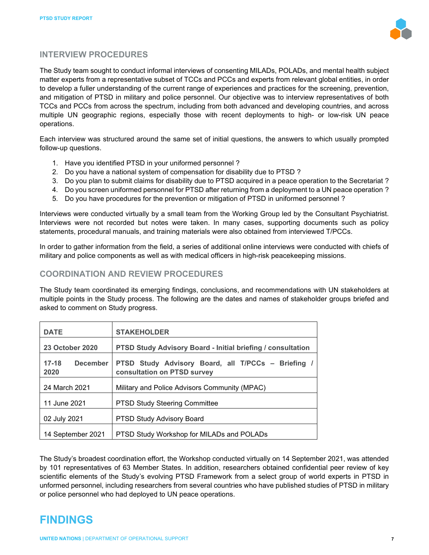

## **INTERVIEW PROCEDURES**

The Study team sought to conduct informal interviews of consenting MILADs, POLADs, and mental health subject matter experts from a representative subset of TCCs and PCCs and experts from relevant global entities, in order to develop a fuller understanding of the current range of experiences and practices for the screening, prevention, and mitigation of PTSD in military and police personnel. Our objective was to interview representatives of both TCCs and PCCs from across the spectrum, including from both advanced and developing countries, and across multiple UN geographic regions, especially those with recent deployments to high- or low-risk UN peace operations.

Each interview was structured around the same set of initial questions, the answers to which usually prompted follow-up questions.

- 1. Have you identified PTSD in your uniformed personnel ?
- 2. Do you have a national system of compensation for disability due to PTSD ?
- 3. Do you plan to submit claims for disability due to PTSD acquired in a peace operation to the Secretariat ?
- 4. Do you screen uniformed personnel for PTSD after returning from a deployment to a UN peace operation ?
- 5. Do you have procedures for the prevention or mitigation of PTSD in uniformed personnel ?

Interviews were conducted virtually by a small team from the Working Group led by the Consultant Psychiatrist. Interviews were not recorded but notes were taken. In many cases, supporting documents such as policy statements, procedural manuals, and training materials were also obtained from interviewed T/PCCs.

In order to gather information from the field, a series of additional online interviews were conducted with chiefs of military and police components as well as with medical officers in high-risk peacekeeping missions.

### **COORDINATION AND REVIEW PROCEDURES**

The Study team coordinated its emerging findings, conclusions, and recommendations with UN stakeholders at multiple points in the Study process. The following are the dates and names of stakeholder groups briefed and asked to comment on Study progress.

| <b>DATE</b>                          | <b>STAKEHOLDER</b>                                                              |
|--------------------------------------|---------------------------------------------------------------------------------|
| <b>23 October 2020</b>               | <b>PTSD Study Advisory Board - Initial briefing / consultation</b>              |
| $17 - 18$<br><b>December</b><br>2020 | PTSD Study Advisory Board, all T/PCCs – Briefing<br>consultation on PTSD survey |
| 24 March 2021                        | Military and Police Advisors Community (MPAC)                                   |
| 11 June 2021                         | <b>PTSD Study Steering Committee</b>                                            |
| 02 July 2021                         | <b>PTSD Study Advisory Board</b>                                                |
| 14 September 2021                    | PTSD Study Workshop for MILADs and POLADs                                       |

The Study's broadest coordination effort, the Workshop conducted virtually on 14 September 2021, was attended by 101 representatives of 63 Member States. In addition, researchers obtained confidential peer review of key scientific elements of the Study's evolving PTSD Framework from a select group of world experts in PTSD in unformed personnel, including researchers from several countries who have published studies of PTSD in military or police personnel who had deployed to UN peace operations.

# **FINDINGS**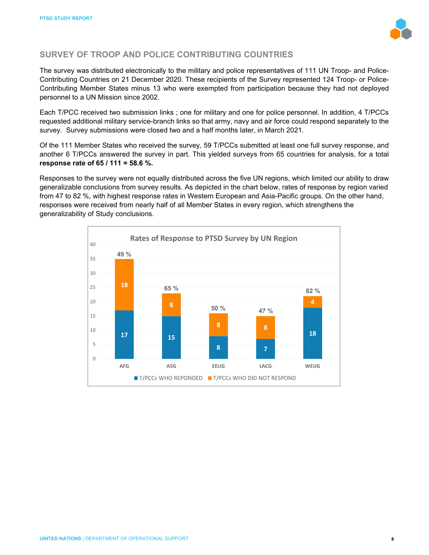

# **SURVEY OF TROOP AND POLICE CONTRIBUTING COUNTRIES**

The survey was distributed electronically to the military and police representatives of 111 UN Troop- and Police-Contributing Countries on 21 December 2020. These recipients of the Survey represented 124 Troop- or Police-Contributing Member States minus 13 who were exempted from participation because they had not deployed personnel to a UN Mission since 2002.

Each T/PCC received two submission links ; one for military and one for police personnel. In addition, 4 T/PCCs requested additional military service-branch links so that army, navy and air force could respond separately to the survey. Survey submissions were closed two and a half months later, in March 2021.

Of the 111 Member States who received the survey, 59 T/PCCs submitted at least one full survey response, and another 6 T/PCCs answered the survey in part. This yielded surveys from 65 countries for analysis, for a total **response rate of 65 / 111 = 58.6 %.**

Responses to the survey were not equally distributed across the five UN regions, which limited our ability to draw generalizable conclusions from survey results. As depicted in the chart below, rates of response by region varied from 47 to 82 %, with highest response rates in Western European and Asia-Pacific groups. On the other hand, responses were received from nearly half of all Member States in every region, which strengthens the generalizability of Study conclusions.

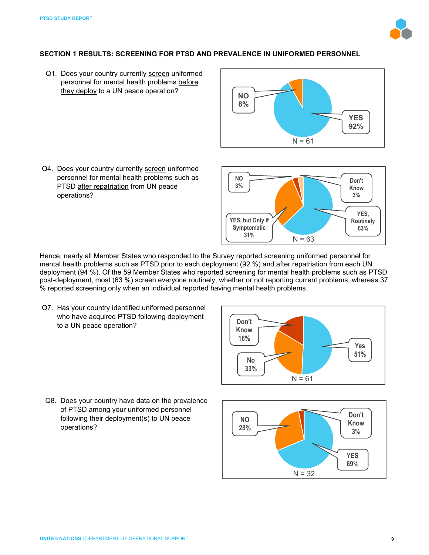

**YES, Routinely 63%**

**Don't Know 3%**

#### **SECTION 1 RESULTS: SCREENING FOR PTSD AND PREVALENCE IN UNIFORMED PERSONNEL**

Q1. Does your country currently screen uniformed personnel for mental health problems before they deploy to a UN peace operation?



Q4. Does your country currently screen uniformed personnel for mental health problems such as PTSD after repatriation from UN peace operations?

Hence, nearly all Member States who responded to the Survey reported screening uniformed personnel for mental health problems such as PTSD prior to each deployment (92 %) and after repatriation from each UN  deployment (94 %). Of the 59 Member States who reported screening for mental health problems such as PTSD post-deployment, most (63 %) screen everyone routinely, whether or not reporting current problems, whereas 37 % reported screening only when an individual reported having mental health problems.

**YES, but Only if Symptomatic 31%**

**NO 3%**

Q7. Has your country identified uniformed personnel who have acquired PTSD following deployment to a UN peace operation?



 $N = 63$ 

Q8. Does your country have data on the prevalence of PTSD among your uniformed personnel following their deployment(s) to UN peace operations?

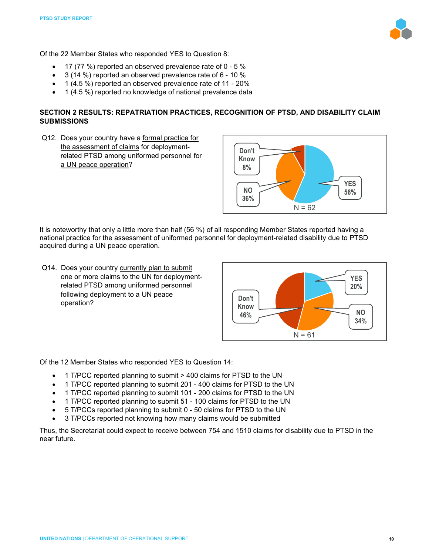

Of the 22 Member States who responded YES to Question 8:

- 17 (77 %) reported an observed prevalence rate of 0 5 %
- 3 (14 %) reported an observed prevalence rate of 6 10 %
- 1 (4.5 %) reported an observed prevalence rate of 11 20%
- 1 (4.5 %) reported no knowledge of national prevalence data

#### **SECTION 2 RESULTS: REPATRIATION PRACTICES, RECOGNITION OF PTSD, AND DISABILITY CLAIM SUBMISSIONS**

Q12. Does your country have a formal practice for the assessment of claims for deploymentrelated PTSD among uniformed personnel for a UN peace operation?



It is noteworthy that only a little more than half (56 %) of all responding Member States reported having a national practice for the assessment of uniformed personnel for deployment-related disability due to PTSD acquired during a UN peace operation.

Q14. Does your country currently plan to submit one or more claims to the UN for deploymentrelated PTSD among uniformed personnel following deployment to a UN peace operation?



Of the 12 Member States who responded YES to Question 14:

- 1 T/PCC reported planning to submit > 400 claims for PTSD to the UN
- 1 T/PCC reported planning to submit 201 400 claims for PTSD to the UN
- 1 T/PCC reported planning to submit 101 200 claims for PTSD to the UN
- 1 T/PCC reported planning to submit 51 100 claims for PTSD to the UN
- 5 T/PCCs reported planning to submit 0 50 claims for PTSD to the UN
- 3 T/PCCs reported not knowing how many claims would be submitted

Thus, the Secretariat could expect to receive between 754 and 1510 claims for disability due to PTSD in the near future.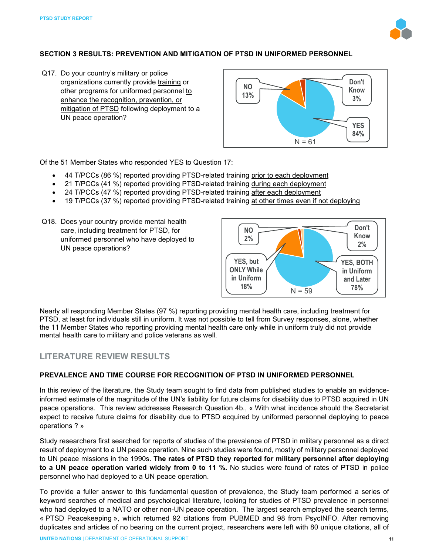

#### **SECTION 3 RESULTS: PREVENTION AND MITIGATION OF PTSD IN UNIFORMED PERSONNEL**

Q17. Do your country's military or police organizations currently provide training or other programs for uniformed personnel to enhance the recognition, prevention, or mitigation of PTSD following deployment to a UN peace operation?



Of the 51 Member States who responded YES to Question 17:

- 44 T/PCCs (86 %) reported providing PTSD-related training prior to each deployment
- 21 T/PCCs (41 %) reported providing PTSD-related training during each deployment
- 24 T/PCCs (47 %) reported providing PTSD-related training after each deployment
- 19 T/PCCs (37 %) reported providing PTSD-related training at other times even if not deploying
- Q18. Does your country provide mental health care, including treatment for PTSD, for uniformed personnel who have deployed to UN peace operations?



Nearly all responding Member States (97 %) reporting providing mental health care, including treatment for PTSD, at least for individuals still in uniform. It was not possible to tell from Survey responses, alone, whether the 11 Member States who reporting providing mental health care only while in uniform truly did not provide mental health care to military and police veterans as well.

#### **LITERATURE REVIEW RESULTS**

#### **PREVALENCE AND TIME COURSE FOR RECOGNITION OF PTSD IN UNIFORMED PERSONNEL**

In this review of the literature, the Study team sought to find data from published studies to enable an evidenceinformed estimate of the magnitude of the UN's liability for future claims for disability due to PTSD acquired in UN peace operations. This review addresses Research Question 4b., « With what incidence should the Secretariat expect to receive future claims for disability due to PTSD acquired by uniformed personnel deploying to peace  operations ? »

Study researchers first searched for reports of studies of the prevalence of PTSD in military personnel as a direct result of deployment to a UN peace operation. Nine such studies were found, mostly of military personnel deployed to UN peace missions in the 1990s. **The rates of PTSD they reported for military personnel after deploying to a UN peace operation varied widely from 0 to 11 %.** No studies were found of rates of PTSD in police personnel who had deployed to a UN peace operation.

To provide a fuller answer to this fundamental question of prevalence, the Study team performed a series of keyword searches of medical and psychological literature, looking for studies of PTSD prevalence in personnel who had deployed to a NATO or other non-UN peace operation. The largest search employed the search terms, « PTSD Peacekeeping », which returned 92 citations from PUBMED and 98 from PsycINFO. After removing duplicates and articles of no bearing on the current project, researchers were left with 80 unique citations, all of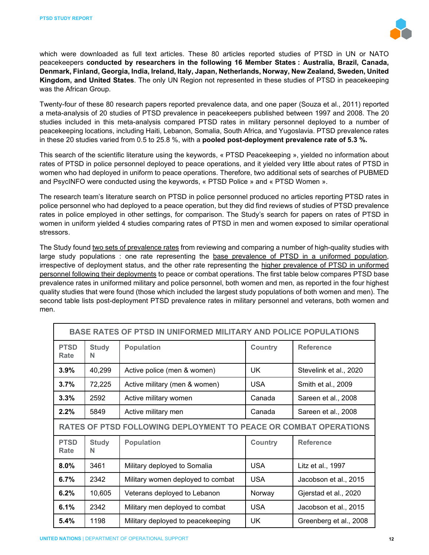

which were downloaded as full text articles. These 80 articles reported studies of PTSD in UN or NATO peacekeepers **conducted by researchers in the following 16 Member States : Australia, Brazil, Canada, Denmark, Finland, Georgia, India, Ireland, Italy, Japan, Netherlands, Norway, New Zealand, Sweden, United Kingdom, and United States**. The only UN Region not represented in these studies of PTSD in peacekeeping was the African Group.

Twenty-four of these 80 research papers reported prevalence data, and one paper (Souza et al., 2011) reported a meta-analysis of 20 studies of PTSD prevalence in peacekeepers published between 1997 and 2008. The 20 studies included in this meta-analysis compared PTSD rates in military personnel deployed to a number of peacekeeping locations, including Haiti, Lebanon, Somalia, South Africa, and Yugoslavia. PTSD prevalence rates in these 20 studies varied from 0.5 to 25.8 %, with a **pooled post-deployment prevalence rate of 5.3 %.**

This search of the scientific literature using the keywords, « PTSD Peacekeeping », yielded no information about rates of PTSD in police personnel deployed to peace operations, and it yielded very little about rates of PTSD in women who had deployed in uniform to peace operations. Therefore, two additional sets of searches of PUBMED and PsycINFO were conducted using the keywords, « PTSD Police » and « PTSD Women ».

The research team's literature search on PTSD in police personnel produced no articles reporting PTSD rates in police personnel who had deployed to a peace operation, but they did find reviews of studies of PTSD prevalence rates in police employed in other settings, for comparison. The Study's search for papers on rates of PTSD in women in uniform yielded 4 studies comparing rates of PTSD in men and women exposed to similar operational stressors.

The Study found two sets of prevalence rates from reviewing and comparing a number of high-quality studies with large study populations : one rate representing the base prevalence of PTSD in a uniformed population, irrespective of deployment status, and the other rate representing the higher prevalence of PTSD in uniformed personnel following their deployments to peace or combat operations. The first table below compares PTSD base prevalence rates in uniformed military and police personnel, both women and men, as reported in the four highest quality studies that were found (those which included the largest study populations of both women and men). The second table lists post-deployment PTSD prevalence rates in military personnel and veterans, both women and men.

| <b>BASE RATES OF PTSD IN UNIFORMED MILITARY AND POLICE POPULATIONS</b> |                   |                                   |                |                        |  |  |
|------------------------------------------------------------------------|-------------------|-----------------------------------|----------------|------------------------|--|--|
| <b>PTSD</b><br>Rate                                                    | <b>Study</b><br>N | <b>Population</b>                 | <b>Country</b> | <b>Reference</b>       |  |  |
| 3.9%                                                                   | 40,299            | Active police (men & women)       | UK.            | Stevelink et al., 2020 |  |  |
| 3.7%                                                                   | 72,225            | Active military (men & women)     | <b>USA</b>     | Smith et al., 2009     |  |  |
| 3.3%                                                                   | 2592              | Active military women             | Canada         | Sareen et al., 2008    |  |  |
| 2.2%                                                                   | 5849              | Active military men               | Canada         | Sareen et al., 2008    |  |  |
| RATES OF PTSD FOLLOWING DEPLOYMENT TO PEACE OR COMBAT OPERATIONS       |                   |                                   |                |                        |  |  |
| <b>PTSD</b><br>Rate                                                    | <b>Study</b><br>N | <b>Population</b>                 | <b>Country</b> | <b>Reference</b>       |  |  |
| $8.0\%$                                                                | 3461              | Military deployed to Somalia      | <b>USA</b>     | Litz et al., 1997      |  |  |
| 6.7%                                                                   | 2342              | Military women deployed to combat | <b>USA</b>     | Jacobson et al., 2015  |  |  |
| 6.2%                                                                   | 10,605            | Veterans deployed to Lebanon      | Norway         | Gjerstad et al., 2020  |  |  |
| 6.1%                                                                   | 2342              | Military men deployed to combat   | <b>USA</b>     | Jacobson et al., 2015  |  |  |
| 5.4%                                                                   | 1198              | Military deployed to peacekeeping | UK.            | Greenberg et al., 2008 |  |  |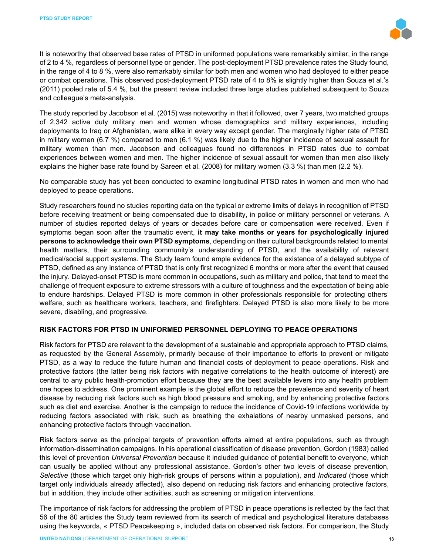

It is noteworthy that observed base rates of PTSD in uniformed populations were remarkably similar, in the range of 2 to 4 %, regardless of personnel type or gender. The post-deployment PTSD prevalence rates the Study found, in the range of 4 to 8 %, were also remarkably similar for both men and women who had deployed to either peace or combat operations. This observed post-deployment PTSD rate of 4 to 8% is slightly higher than Souza et al.'s (2011) pooled rate of 5.4 %, but the present review included three large studies published subsequent to Souza and colleague's meta-analysis.

The study reported by Jacobson et al. (2015) was noteworthy in that it followed, over 7 years, two matched groups of 2,342 active duty military men and women whose demographics and military experiences, including deployments to Iraq or Afghanistan, were alike in every way except gender. The marginally higher rate of PTSD in military women (6.7 %) compared to men (6.1 %) was likely due to the higher incidence of sexual assault for military women than men. Jacobson and colleagues found no differences in PTSD rates due to combat experiences between women and men. The higher incidence of sexual assault for women than men also likely explains the higher base rate found by Sareen et al. (2008) for military women (3.3 %) than men (2.2 %).

No comparable study has yet been conducted to examine longitudinal PTSD rates in women and men who had deployed to peace operations.

Study researchers found no studies reporting data on the typical or extreme limits of delays in recognition of PTSD before receiving treatment or being compensated due to disability, in police or military personnel or veterans. A number of studies reported delays of years or decades before care or compensation were received. Even if symptoms began soon after the traumatic event, **it may take months or years for psychologically injured persons to acknowledge their own PTSD symptoms**, depending on their cultural backgrounds related to mental health matters, their surrounding community's understanding of PTSD, and the availability of relevant medical/social support systems. The Study team found ample evidence for the existence of a delayed subtype of PTSD, defined as any instance of PTSD that is only first recognized 6 months or more after the event that caused the injury. Delayed-onset PTSD is more common in occupations, such as military and police, that tend to meet the challenge of frequent exposure to extreme stressors with a culture of toughness and the expectation of being able to endure hardships. Delayed PTSD is more common in other professionals responsible for protecting others' welfare, such as healthcare workers, teachers, and firefighters. Delayed PTSD is also more likely to be more severe, disabling, and progressive.

#### **RISK FACTORS FOR PTSD IN UNIFORMED PERSONNEL DEPLOYING TO PEACE OPERATIONS**

Risk factors for PTSD are relevant to the development of a sustainable and appropriate approach to PTSD claims, as requested by the General Assembly, primarily because of their importance to efforts to prevent or mitigate PTSD, as a way to reduce the future human and financial costs of deployment to peace operations. Risk and protective factors (the latter being risk factors with negative correlations to the health outcome of interest) are central to any public health-promotion effort because they are the best available levers into any health problem one hopes to address. One prominent example is the global effort to reduce the prevalence and severity of heart disease by reducing risk factors such as high blood pressure and smoking, and by enhancing protective factors such as diet and exercise. Another is the campaign to reduce the incidence of Covid-19 infections worldwide by reducing factors associated with risk, such as breathing the exhalations of nearby unmasked persons, and enhancing protective factors through vaccination.

Risk factors serve as the principal targets of prevention efforts aimed at entire populations, such as through information-dissemination campaigns. In his operational classification of disease prevention, Gordon (1983) called this level of prevention *Universal Prevention* because it included guidance of potential benefit to everyone, which can usually be applied without any professional assistance. Gordon's other two levels of disease prevention, *Selective* (those which target only high-risk groups of persons within a population), and *Indicated* (those which target only individuals already affected), also depend on reducing risk factors and enhancing protective factors, but in addition, they include other activities, such as screening or mitigation interventions.

The importance of risk factors for addressing the problem of PTSD in peace operations is reflected by the fact that 56 of the 80 articles the Study team reviewed from its search of medical and psychological literature databases using the keywords, « PTSD Peacekeeping », included data on observed risk factors. For comparison, the Study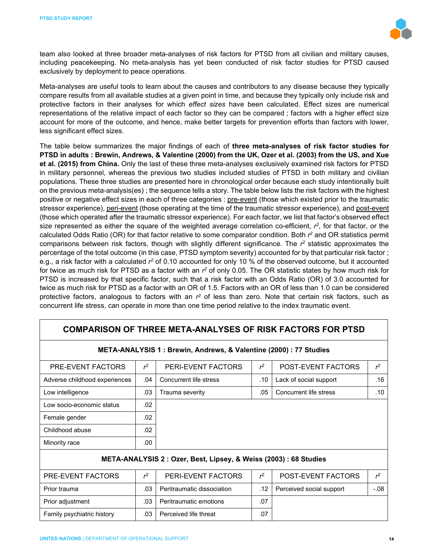

team also looked at three broader meta-analyses of risk factors for PTSD from all civilian and military causes, including peacekeeping. No meta-analysis has yet been conducted of risk factor studies for PTSD caused exclusively by deployment to peace operations.

Meta-analyses are useful tools to learn about the causes and contributors to any disease because they typically compare results from all available studies at a given point in time, and because they typically only include risk and protective factors in their analyses for which *effect sizes* have been calculated. Effect sizes are numerical representations of the relative impact of each factor so they can be compared ; factors with a higher effect size account for more of the outcome, and hence, make better targets for prevention efforts than factors with lower, less significant effect sizes.

The table below summarizes the major findings of each of **three meta-analyses of risk factor studies for PTSD in adults : Brewin, Andrews, & Valentine (2000) from the UK, Ozer et al. (2003) from the US, and Xue et al. (2015) from China.** Only the last of these three meta-analyses exclusively examined risk factors for PTSD in military personnel, whereas the previous two studies included studies of PTSD in both military and civilian populations. These three studies are presented here in chronological order because each study intentionally built on the previous meta-analysis(es) ; the sequence tells a story. The table below lists the risk factors with the highest positive or negative effect sizes in each of three categories : pre-event (those which existed prior to the traumatic stressor experience), peri-event (those operating at the time of the traumatic stressor experience), and post-event (those which operated after the traumatic stressor experience). For each factor, we list that factor's observed effect size represented as either the square of the weighted average correlation co-efficient, *r2*, for that factor, or the calculated Odds Ratio (OR) for that factor relative to some comparator condition. Both *r2* and OR statistics permit comparisons between risk factors, though with slightly different significance. The *r2* statistic approximates the percentage of the total outcome (in this case, PTSD symptom severity) accounted for by that particular risk factor ; e.g., a risk factor with a calculated *r2* of 0.10 accounted for only 10 % of the observed outcome, but it accounted for twice as much risk for PTSD as a factor with an *r2* of only 0.05. The OR statistic states by how much risk for PTSD is increased by that specific factor, such that a risk factor with an Odds Ratio (OR) of 3.0 accounted for twice as much risk for PTSD as a factor with an OR of 1.5. Factors with an OR of less than 1.0 can be considered protective factors, analogous to factors with an *r2* of less than zero. Note that certain risk factors, such as concurrent life stress, can operate in more than one time period relative to the index traumatic event.

| COMPARISON OF THREE META-ANALYSES OF RISK FACTORS FOR PTSD                                      |                                      |                                                                  |       |                          |                |  |  |
|-------------------------------------------------------------------------------------------------|--------------------------------------|------------------------------------------------------------------|-------|--------------------------|----------------|--|--|
| META-ANALYSIS 1: Brewin, Andrews, & Valentine (2000) : 77 Studies                               |                                      |                                                                  |       |                          |                |  |  |
| $r^2$<br>$r^2$<br>$r^2$<br>PERI-EVENT FACTORS<br><b>POST-EVENT FACTORS</b><br>PRE-EVENT FACTORS |                                      |                                                                  |       |                          |                |  |  |
| Adverse childhood experiences                                                                   | .04                                  | Concurrent life stress                                           | .10   | Lack of social support   | .16            |  |  |
| Low intelligence                                                                                | .03                                  | Trauma severity                                                  | .05   | Concurrent life stress   | .10            |  |  |
| Low socio-economic status                                                                       | .02                                  |                                                                  |       |                          |                |  |  |
| Female gender                                                                                   | .02                                  |                                                                  |       |                          |                |  |  |
| Childhood abuse                                                                                 | .02                                  |                                                                  |       |                          |                |  |  |
| Minority race                                                                                   | .00                                  |                                                                  |       |                          |                |  |  |
|                                                                                                 |                                      | META-ANALYSIS 2: Ozer, Best, Lipsey, & Weiss (2003) : 68 Studies |       |                          |                |  |  |
| PRE-EVENT FACTORS                                                                               | $r^2$                                | PERI-EVENT FACTORS                                               | $r^2$ | POST-EVENT FACTORS       | r <sup>2</sup> |  |  |
| Prior trauma                                                                                    | .03                                  | Peritraumatic dissociation                                       | .12   | Perceived social support | $-0.08$        |  |  |
| Prior adjustment                                                                                | .07<br>.03<br>Peritraumatic emotions |                                                                  |       |                          |                |  |  |
| .03<br>Perceived life threat<br>.07<br>Family psychiatric history                               |                                      |                                                                  |       |                          |                |  |  |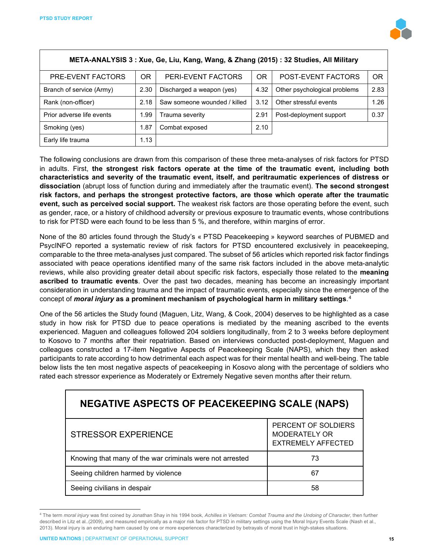

| META-ANALYSIS 3: Xue, Ge, Liu, Kang, Wang, & Zhang (2015): 32 Studies, All Military                  |      |                           |      |                              |      |  |  |
|------------------------------------------------------------------------------------------------------|------|---------------------------|------|------------------------------|------|--|--|
| <b>OR</b><br><b>OR</b><br><b>OR</b><br>POST-EVENT FACTORS<br>PERI-EVENT FACTORS<br>PRE-EVENT FACTORS |      |                           |      |                              |      |  |  |
| Branch of service (Army)                                                                             | 2.30 | Discharged a weapon (yes) | 4.32 | Other psychological problems | 2.83 |  |  |
| Other stressful events<br>3.12<br>Rank (non-officer)<br>Saw someone wounded / killed<br>2.18         |      |                           |      | 1.26                         |      |  |  |
| Prior adverse life events                                                                            | 1.99 | Trauma severity           | 2.91 | Post-deployment support      | 0.37 |  |  |
| 2.10<br>1.87<br>Smoking (yes)<br>Combat exposed                                                      |      |                           |      |                              |      |  |  |
| Early life trauma<br>1.13                                                                            |      |                           |      |                              |      |  |  |

The following conclusions are drawn from this comparison of these three meta-analyses of risk factors for PTSD in adults. First, **the strongest risk factors operate at the time of the traumatic event, including both characteristics and severity of the traumatic event, itself, and peritraumatic experiences of distress or dissociation** (abrupt loss of function during and immediately after the traumatic event). **The second strongest risk factors, and perhaps the strongest protective factors, are those which operate after the traumatic event, such as perceived social support.** The weakest risk factors are those operating before the event, such as gender, race, or a history of childhood adversity or previous exposure to traumatic events, whose contributions to risk for PTSD were each found to be less than 5 %, and therefore, within margins of error.

None of the 80 articles found through the Study's « PTSD Peacekeeping » keyword searches of PUBMED and PsycINFO reported a systematic review of risk factors for PTSD encountered exclusively in peacekeeping, comparable to the three meta-analyses just compared. The subset of 56 articles which reported risk factor findings associated with peace operations identified many of the same risk factors included in the above meta-analytic reviews, while also providing greater detail about specific risk factors, especially those related to the **meaning ascribed to traumatic events**. Over the past two decades, meaning has become an increasingly important consideration in understanding trauma and the impact of traumatic events, especially since the emergence of the concept of *moral injury* **as a prominent mechanism of psychological harm in military settings**.[4](#page-14-0)

One of the 56 articles the Study found (Maguen, Litz, Wang, & Cook, 2004) deserves to be highlighted as a case study in how risk for PTSD due to peace operations is mediated by the meaning ascribed to the events experienced. Maguen and colleagues followed 204 soldiers longitudinally, from 2 to 3 weeks before deployment to Kosovo to 7 months after their repatriation. Based on interviews conducted post-deployment, Maguen and colleagues constructed a 17-item Negative Aspects of Peacekeeping Scale (NAPS), which they then asked participants to rate according to how detrimental each aspect was for their mental health and well-being. The table below lists the ten most negative aspects of peacekeeping in Kosovo along with the percentage of soldiers who rated each stressor experience as Moderately or Extremely Negative seven months after their return.

| <b>NEGATIVE ASPECTS OF PEACEKEEPING SCALE (NAPS)</b>     |                                                                   |  |  |  |
|----------------------------------------------------------|-------------------------------------------------------------------|--|--|--|
| <b>STRESSOR EXPERIENCE</b>                               | PERCENT OF SOLDIERS<br>MODERATELY OR<br><b>EXTREMELY AFFECTED</b> |  |  |  |
| Knowing that many of the war criminals were not arrested | 73                                                                |  |  |  |
| Seeing children harmed by violence                       | 67                                                                |  |  |  |
| Seeing civilians in despair                              | 58                                                                |  |  |  |

<span id="page-14-0"></span><sup>4</sup> The term *moral injury* was first coined by Jonathan Shay in his 1994 book, *Achilles in Vietnam: Combat Trauma and the Undoing of Character*, then further described in Litz et al..(2009), and measured empirically as a major risk factor for PTSD in military settings using the Moral Injury Events Scale (Nash et al., 2013). Moral injury is an enduring harm caused by one or more experiences characterized by betrayals of moral trust in high-stakes situations.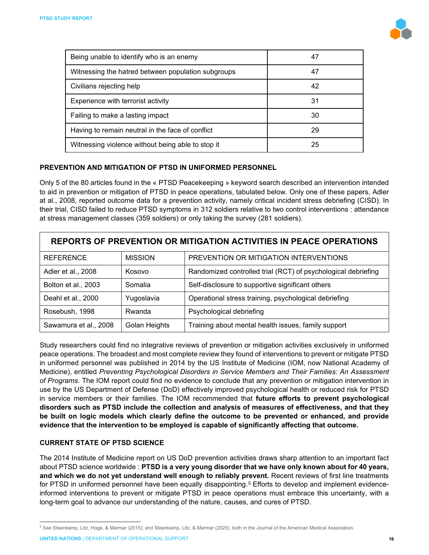

| Being unable to identify who is an enemy           | 47 |
|----------------------------------------------------|----|
| Witnessing the hatred between population subgroups | 47 |
| Civilians rejecting help                           | 42 |
| Experience with terrorist activity                 | 31 |
| Failing to make a lasting impact                   | 30 |
| Having to remain neutral in the face of conflict   | 29 |
| Witnessing violence without being able to stop it  | 25 |

#### **PREVENTION AND MITIGATION OF PTSD IN UNIFORMED PERSONNEL**

Only 5 of the 80 articles found in the « PTSD Peacekeeping » keyword search described an intervention intended to aid in prevention or mitigation of PTSD in peace operations, tabulated below. Only one of these papers, Adler at al., 2008, reported outcome data for a prevention activity, namely critical incident stress debriefing (CISD). In their trial, CISD failed to reduce PTSD symptoms in 312 soldiers relative to two control interventions : attendance at stress management classes (359 soldiers) or only taking the survey (281 soldiers).

| REPORTS OF PREVENTION OR MITIGATION ACTIVITIES IN PEACE OPERATIONS |                |                                                               |  |  |  |
|--------------------------------------------------------------------|----------------|---------------------------------------------------------------|--|--|--|
| <b>REFERENCE</b>                                                   | <b>MISSION</b> | PREVENTION OR MITIGATION INTERVENTIONS                        |  |  |  |
| Adler et al., 2008                                                 | Kosovo         | Randomized controlled trial (RCT) of psychological debriefing |  |  |  |
| Bolton et al., 2003                                                | Somalia        | Self-disclosure to supportive significant others              |  |  |  |
| Deahl et al., 2000                                                 | Yugoslavia     | Operational stress training, psychological debriefing         |  |  |  |
| Rosebush, 1998                                                     | Rwanda         | Psychological debriefing                                      |  |  |  |
| Sawamura et al., 2008                                              | Golan Heights  | Training about mental health issues, family support           |  |  |  |

Study researchers could find no integrative reviews of prevention or mitigation activities exclusively in uniformed peace operations. The broadest and most complete review they found of interventions to prevent or mitigate PTSD in uniformed personnel was published in 2014 by the US Institute of Medicine (IOM, now National Academy of Medicine), entitled *Preventing Psychological Disorders in Service Members and Their Families: An Assessment of Programs*. The IOM report could find no evidence to conclude that any prevention or mitigation intervention in use by the US Department of Defense (DoD) effectively improved psychological health or reduced risk for PTSD in service members or their families. The IOM recommended that **future efforts to prevent psychological disorders such as PTSD include the collection and analysis of measures of effectiveness, and that they be built on logic models which clearly define the outcome to be prevented or enhanced, and provide evidence that the intervention to be employed is capable of significantly affecting that outcome.**

#### **CURRENT STATE OF PTSD SCIENCE**

The 2014 Institute of Medicine report on US DoD prevention activities draws sharp attention to an important fact about PTSD science worldwide : **PTSD is a very young disorder that we have only known about for 40 years, and which we do not yet understand well enough to reliably prevent.** Recent reviews of first line treatments for PTSD in uniformed personnel have been equally disappointing.<sup>[5](#page-15-0)</sup> Efforts to develop and implement evidenceinformed interventions to prevent or mitigate PTSD in peace operations must embrace this uncertainty, with a long-term goal to advance our understanding of the nature, causes, and cures of PTSD.

<span id="page-15-0"></span><sup>5</sup> See Steenkamp, Litz, Hoge, & Marmar (2015); and Steenkamp, Litz, & Marmar (2020), both in the Journal of the American Medical Association.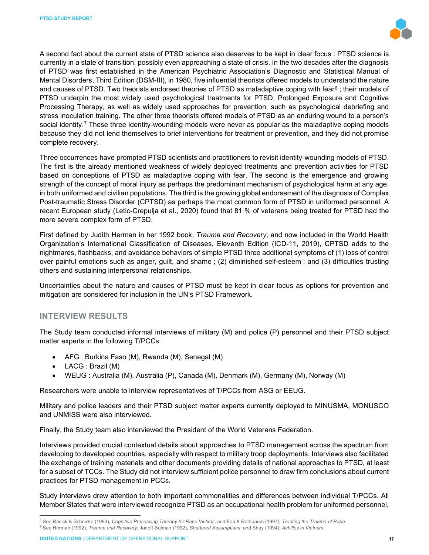

A second fact about the current state of PTSD science also deserves to be kept in clear focus : PTSD science is currently in a state of transition, possibly even approaching a state of crisis. In the two decades after the diagnosis of PTSD was first established in the American Psychiatric Association's Diagnostic and Statistical Manual of Mental Disorders, Third Edition (DSM-III), in 1980, five influential theorists offered models to understand the nature and causes of PTSD. Two theorists endorsed theories of PTSD as maladaptive coping with fear<sup>[6](#page-16-0)</sup>; their models of PTSD underpin the most widely used psychological treatments for PTSD, Prolonged Exposure and Cognitive Processing Therapy, as well as widely used approaches for prevention, such as psychological debriefing and stress inoculation training. The other three theorists offered models of PTSD as an enduring wound to a person's social identity.<sup>[7](#page-16-1)</sup> These three identity-wounding models were never as popular as the maladaptive coping models because they did not lend themselves to brief interventions for treatment or prevention, and they did not promise complete recovery.

Three occurrences have prompted PTSD scientists and practitioners to revisit identity-wounding models of PTSD. The first is the already mentioned weakness of widely deployed treatments and prevention activities for PTSD based on conceptions of PTSD as maladaptive coping with fear. The second is the emergence and growing strength of the concept of moral injury as perhaps the predominant mechanism of psychological harm at any age, in both uniformed and civilian populations. The third is the growing global endorsement of the diagnosis of Complex Post-traumatic Stress Disorder (CPTSD) as perhaps the most common form of PTSD in uniformed personnel. A recent European study (Letic-Crepulja et al., 2020) found that 81 % of veterans being treated for PTSD had the more severe complex form of PTSD.

First defined by Judith Herman in her 1992 book, *Trauma and Recovery*, and now included in the World Health Organization's International Classification of Diseases, Eleventh Edition (ICD-11, 2019), CPTSD adds to the nightmares, flashbacks, and avoidance behaviors of simple PTSD three additional symptoms of (1) loss of control over painful emotions such as anger, guilt, and shame ; (2) diminished self-esteem ; and (3) difficulties trusting others and sustaining interpersonal relationships.

Uncertainties about the nature and causes of PTSD must be kept in clear focus as options for prevention and mitigation are considered for inclusion in the UN's PTSD Framework.

#### **INTERVIEW RESULTS**

The Study team conducted informal interviews of military (M) and police (P) personnel and their PTSD subject matter experts in the following T/PCCs :

- AFG : Burkina Faso (M), Rwanda (M), Senegal (M)
- LACG : Brazil (M)
- WEUG : Australia (M), Australia (P), Canada (M), Denmark (M), Germany (M), Norway (M)

Researchers were unable to interview representatives of T/PCCs from ASG or EEUG.

Military and police leaders and their PTSD subject matter experts currently deployed to MINUSMA, MONUSCO and UNMISS were also interviewed.

Finally, the Study team also interviewed the President of the World Veterans Federation.

Interviews provided crucial contextual details about approaches to PTSD management across the spectrum from developing to developed countries, especially with respect to military troop deployments. Interviews also facilitated the exchange of training materials and other documents providing details of national approaches to PTSD, at least for a subset of TCCs. The Study did not interview sufficient police personnel to draw firm conclusions about current practices for PTSD management in PCCs.

Study interviews drew attention to both important commonalities and differences between individual T/PCCs. All Member States that were interviewed recognize PTSD as an occupational health problem for uniformed personnel,

<span id="page-16-0"></span><sup>6</sup> See Resick & Schnicke (1993), *Cognitive Processing Therapy for Rape Victims*, and Foa & Rothbaum (1997), *Treating the Trauma of Rape.*

<span id="page-16-1"></span><sup>7</sup> See Herman (1992), *Trauma and Recovery*; Janoff-Bulman (1992), *Shattered Assumptions*; and Shay (1994), *Achilles in Vietnam*.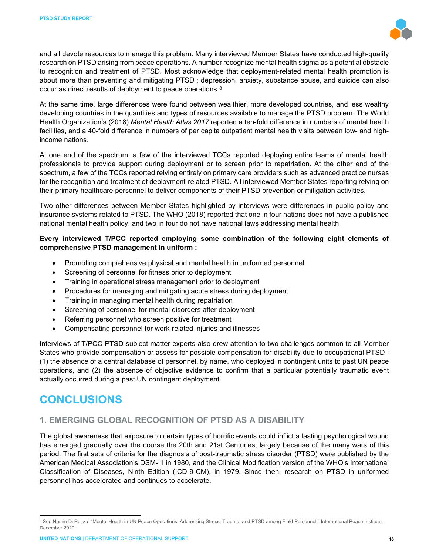

and all devote resources to manage this problem. Many interviewed Member States have conducted high-quality research on PTSD arising from peace operations. A number recognize mental health stigma as a potential obstacle to recognition and treatment of PTSD. Most acknowledge that deployment-related mental health promotion is about more than preventing and mitigating PTSD ; depression, anxiety, substance abuse, and suicide can also occur as direct results of deployment to peace operations.[8](#page-17-0)

At the same time, large differences were found between wealthier, more developed countries, and less wealthy developing countries in the quantities and types of resources available to manage the PTSD problem. The World Health Organization's (2018) *Mental Health Atlas 2017* reported a ten-fold difference in numbers of mental health facilities, and a 40-fold difference in numbers of per capita outpatient mental health visits between low- and highincome nations.

At one end of the spectrum, a few of the interviewed TCCs reported deploying entire teams of mental health professionals to provide support during deployment or to screen prior to repatriation. At the other end of the spectrum, a few of the TCCs reported relying entirely on primary care providers such as advanced practice nurses for the recognition and treatment of deployment-related PTSD. All interviewed Member States reporting relying on their primary healthcare personnel to deliver components of their PTSD prevention or mitigation activities.

Two other differences between Member States highlighted by interviews were differences in public policy and insurance systems related to PTSD. The WHO (2018) reported that one in four nations does not have a published national mental health policy, and two in four do not have national laws addressing mental health.

#### **Every interviewed T/PCC reported employing some combination of the following eight elements of comprehensive PTSD management in uniform :**

- Promoting comprehensive physical and mental health in uniformed personnel
- Screening of personnel for fitness prior to deployment
- Training in operational stress management prior to deployment
- Procedures for managing and mitigating acute stress during deployment
- Training in managing mental health during repatriation
- Screening of personnel for mental disorders after deployment
- Referring personnel who screen positive for treatment
- Compensating personnel for work-related injuries and illnesses

Interviews of T/PCC PTSD subject matter experts also drew attention to two challenges common to all Member States who provide compensation or assess for possible compensation for disability due to occupational PTSD : (1) the absence of a central database of personnel, by name, who deployed in contingent units to past UN peace operations, and (2) the absence of objective evidence to confirm that a particular potentially traumatic event actually occurred during a past UN contingent deployment.

# **CONCLUSIONS**

# **1. EMERGING GLOBAL RECOGNITION OF PTSD AS A DISABILITY**

The global awareness that exposure to certain types of horrific events could inflict a lasting psychological wound has emerged gradually over the course the 20th and 21st Centuries, largely because of the many wars of this period. The first sets of criteria for the diagnosis of post-traumatic stress disorder (PTSD) were published by the American Medical Association's DSM-III in 1980, and the Clinical Modification version of the WHO's International Classification of Diseases, Ninth Edition (ICD-9-CM), in 1979. Since then, research on PTSD in uniformed personnel has accelerated and continues to accelerate.

<span id="page-17-0"></span><sup>&</sup>lt;sup>8</sup> See Namie Di Razza, "Mental Health in UN Peace Operations: Addressing Stress, Trauma, and PTSD among Field Personnel," International Peace Institute, December 2020.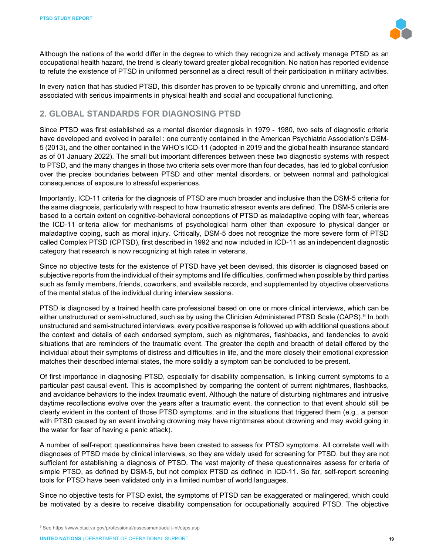

Although the nations of the world differ in the degree to which they recognize and actively manage PTSD as an occupational health hazard, the trend is clearly toward greater global recognition. No nation has reported evidence to refute the existence of PTSD in uniformed personnel as a direct result of their participation in military activities.

In every nation that has studied PTSD, this disorder has proven to be typically chronic and unremitting, and often associated with serious impairments in physical health and social and occupational functioning.

## **2. GLOBAL STANDARDS FOR DIAGNOSING PTSD**

Since PTSD was first established as a mental disorder diagnosis in 1979 - 1980, two sets of diagnostic criteria have developed and evolved in parallel : one currently contained in the American Psychiatric Association's DSM-5 (2013), and the other contained in the WHO's ICD-11 (adopted in 2019 and the global health insurance standard as of 01 January 2022). The small but important differences between these two diagnostic systems with respect to PTSD, and the many changes in those two criteria sets over more than four decades, has led to global confusion over the precise boundaries between PTSD and other mental disorders, or between normal and pathological consequences of exposure to stressful experiences.

Importantly, ICD-11 criteria for the diagnosis of PTSD are much broader and inclusive than the DSM-5 criteria for the same diagnosis, particularly with respect to how traumatic stressor events are defined. The DSM-5 criteria are based to a certain extent on cognitive-behavioral conceptions of PTSD as maladaptive coping with fear, whereas the ICD-11 criteria allow for mechanisms of psychological harm other than exposure to physical danger or maladaptive coping, such as moral injury. Critically, DSM-5 does not recognize the more severe form of PTSD called Complex PTSD (CPTSD), first described in 1992 and now included in ICD-11 as an independent diagnostic category that research is now recognizing at high rates in veterans.

Since no objective tests for the existence of PTSD have yet been devised, this disorder is diagnosed based on subjective reports from the individual of their symptoms and life difficulties, confirmed when possible by third parties such as family members, friends, coworkers, and available records, and supplemented by objective observations of the mental status of the individual during interview sessions.

PTSD is diagnosed by a trained health care professional based on one or more clinical interviews, which can be either unstructured or semi-structured, such as by using the Clinician Administered PTSD Scale (CAPS).<sup>[9](#page-18-0)</sup> In both unstructured and semi-structured interviews, every positive response is followed up with additional questions about the context and details of each endorsed symptom, such as nightmares, flashbacks, and tendencies to avoid situations that are reminders of the traumatic event. The greater the depth and breadth of detail offered by the individual about their symptoms of distress and difficulties in life, and the more closely their emotional expression matches their described internal states, the more solidly a symptom can be concluded to be present.

Of first importance in diagnosing PTSD, especially for disability compensation, is linking current symptoms to a particular past causal event. This is accomplished by comparing the content of current nightmares, flashbacks, and avoidance behaviors to the index traumatic event. Although the nature of disturbing nightmares and intrusive daytime recollections evolve over the years after a traumatic event, the connection to that event should still be clearly evident in the content of those PTSD symptoms, and in the situations that triggered them (e.g., a person with PTSD caused by an event involving drowning may have nightmares about drowning and may avoid going in the water for fear of having a panic attack).

A number of self-report questionnaires have been created to assess for PTSD symptoms. All correlate well with diagnoses of PTSD made by clinical interviews, so they are widely used for screening for PTSD, but they are not sufficient for establishing a diagnosis of PTSD. The vast majority of these questionnaires assess for criteria of simple PTSD, as defined by DSM-5, but not complex PTSD as defined in ICD-11. So far, self-report screening tools for PTSD have been validated only in a limited number of world languages.

Since no objective tests for PTSD exist, the symptoms of PTSD can be exaggerated or malingered, which could be motivated by a desire to receive disability compensation for occupationally acquired PTSD. The objective

<span id="page-18-0"></span><sup>9</sup> See https://www.ptsd.va.gov/professional/assessment/adult-int/caps.asp

**UNITED NATIONS** | DEPARTMENT OF OPERATIONAL SUPPORT **19**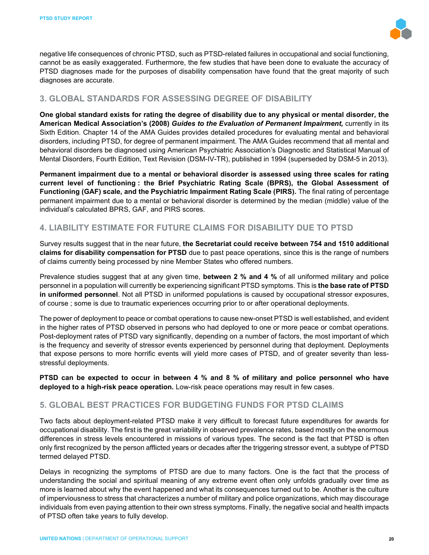

negative life consequences of chronic PTSD, such as PTSD-related failures in occupational and social functioning, cannot be as easily exaggerated. Furthermore, the few studies that have been done to evaluate the accuracy of PTSD diagnoses made for the purposes of disability compensation have found that the great majority of such diagnoses are accurate.

# **3. GLOBAL STANDARDS FOR ASSESSING DEGREE OF DISABILITY**

**One global standard exists for rating the degree of disability due to any physical or mental disorder, the American Medical Association's (2008)** *Guides to the Evaluation of Permanent Impairment,* currently in its Sixth Edition. Chapter 14 of the AMA Guides provides detailed procedures for evaluating mental and behavioral disorders, including PTSD, for degree of permanent impairment. The AMA Guides recommend that all mental and behavioral disorders be diagnosed using American Psychiatric Association's Diagnostic and Statistical Manual of Mental Disorders, Fourth Edition, Text Revision (DSM-IV-TR), published in 1994 (superseded by DSM-5 in 2013).

**Permanent impairment due to a mental or behavioral disorder is assessed using three scales for rating current level of functioning : the Brief Psychiatric Rating Scale (BPRS), the Global Assessment of Functioning (GAF) scale, and the Psychiatric Impairment Rating Scale (PIRS).** The final rating of percentage permanent impairment due to a mental or behavioral disorder is determined by the median (middle) value of the individual's calculated BPRS, GAF, and PIRS scores.

## **4. LIABILITY ESTIMATE FOR FUTURE CLAIMS FOR DISABILITY DUE TO PTSD**

Survey results suggest that in the near future, **the Secretariat could receive between 754 and 1510 additional claims for disability compensation for PTSD** due to past peace operations, since this is the range of numbers of claims currently being processed by nine Member States who offered numbers.

Prevalence studies suggest that at any given time, **between 2 % and 4 %** of all uniformed military and police personnel in a population will currently be experiencing significant PTSD symptoms. This is **the base rate of PTSD in uniformed personnel**. Not all PTSD in uniformed populations is caused by occupational stressor exposures, of course ; some is due to traumatic experiences occurring prior to or after operational deployments.

The power of deployment to peace or combat operations to cause new-onset PTSD is well established, and evident in the higher rates of PTSD observed in persons who had deployed to one or more peace or combat operations. Post-deployment rates of PTSD vary significantly, depending on a number of factors, the most important of which is the frequency and severity of stressor events experienced by personnel during that deployment. Deployments that expose persons to more horrific events will yield more cases of PTSD, and of greater severity than lessstressful deployments.

**PTSD can be expected to occur in between 4 % and 8 % of military and police personnel who have deployed to a high-risk peace operation.** Low-risk peace operations may result in few cases.

## **5. GLOBAL BEST PRACTICES FOR BUDGETING FUNDS FOR PTSD CLAIMS**

Two facts about deployment-related PTSD make it very difficult to forecast future expenditures for awards for occupational disability. The first is the great variability in observed prevalence rates, based mostly on the enormous differences in stress levels encountered in missions of various types. The second is the fact that PTSD is often only first recognized by the person afflicted years or decades after the triggering stressor event, a subtype of PTSD termed delayed PTSD.

Delays in recognizing the symptoms of PTSD are due to many factors. One is the fact that the process of understanding the social and spiritual meaning of any extreme event often only unfolds gradually over time as more is learned about why the event happened and what its consequences turned out to be. Another is the culture of imperviousness to stress that characterizes a number of military and police organizations, which may discourage individuals from even paying attention to their own stress symptoms. Finally, the negative social and health impacts of PTSD often take years to fully develop.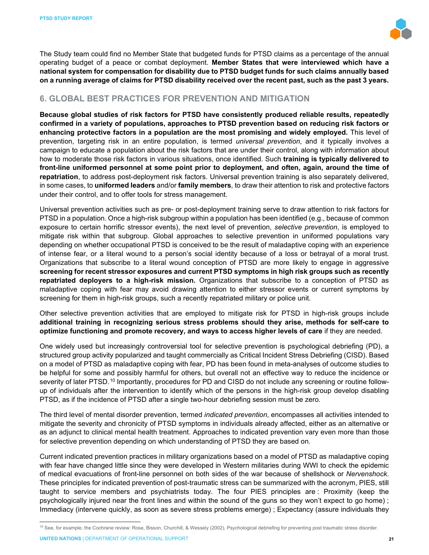

The Study team could find no Member State that budgeted funds for PTSD claims as a percentage of the annual operating budget of a peace or combat deployment. **Member States that were interviewed which have a national system for compensation for disability due to PTSD budget funds for such claims annually based on a running average of claims for PTSD disability received over the recent past, such as the past 3 years.**

# **6. GLOBAL BEST PRACTICES FOR PREVENTION AND MITIGATION**

**Because global studies of risk factors for PTSD have consistently produced reliable results, repeatedly confirmed in a variety of populations, approaches to PTSD prevention based on reducing risk factors or enhancing protective factors in a population are the most promising and widely employed.** This level of prevention, targeting risk in an entire population, is termed *universal prevention*, and it typically involves a campaign to educate a population about the risk factors that are under their control, along with information about how to moderate those risk factors in various situations, once identified. Such **training is typically delivered to front-line uniformed personnel at some point prior to deployment, and often, again, around the time of repatriation**, to address post-deployment risk factors. Universal prevention training is also separately delivered, in some cases, to **uniformed leaders** and/or **family members**, to draw their attention to risk and protective factors under their control, and to offer tools for stress management.

Universal prevention activities such as pre- or post-deployment training serve to draw attention to risk factors for PTSD in a population. Once a high-risk subgroup within a population has been identified (e.g., because of common exposure to certain horrific stressor events), the next level of prevention, *selective prevention*, is employed to mitigate risk within that subgroup. Global approaches to selective prevention in uniformed populations vary depending on whether occupational PTSD is conceived to be the result of maladaptive coping with an experience of intense fear, or a literal wound to a person's social identity because of a loss or betrayal of a moral trust. Organizations that subscribe to a literal wound conception of PTSD are more likely to engage in aggressive **screening for recent stressor exposures and current PTSD symptoms in high risk groups such as recently repatriated deployers to a high-risk mission.** Organizations that subscribe to a conception of PTSD as maladaptive coping with fear may avoid drawing attention to either stressor events or current symptoms by screening for them in high-risk groups, such a recently repatriated military or police unit.

Other selective prevention activities that are employed to mitigate risk for PTSD in high-risk groups include **additional training in recognizing serious stress problems should they arise, methods for self-care to optimize functioning and promote recovery, and ways to access higher levels of care** if they are needed.

One widely used but increasingly controversial tool for selective prevention is psychological debriefing (PD), a structured group activity popularized and taught commercially as Critical Incident Stress Debriefing (CISD). Based on a model of PTSD as maladaptive coping with fear, PD has been found in meta-analyses of outcome studies to be helpful for some and possibly harmful for others, but overall not an effective way to reduce the incidence or severity of later PTSD.<sup>[10](#page-20-0)</sup> Importantly, procedures for PD and CISD do not include any screening or routine followup of individuals after the intervention to identify which of the persons in the high-risk group develop disabling PTSD, as if the incidence of PTSD after a single two-hour debriefing session must be zero.

The third level of mental disorder prevention, termed *indicated prevention*, encompasses all activities intended to mitigate the severity and chronicity of PTSD symptoms in individuals already affected, either as an alternative or as an adjunct to clinical mental health treatment. Approaches to indicated prevention vary even more than those for selective prevention depending on which understanding of PTSD they are based on.

Current indicated prevention practices in military organizations based on a model of PTSD as maladaptive coping with fear have changed little since they were developed in Western militaries during WWI to check the epidemic of medical evacuations of front-line personnel on both sides of the war because of shellshock or *Nervenshock*. These principles for indicated prevention of post-traumatic stress can be summarized with the acronym, PIES, still taught to service members and psychiatrists today. The four PIES principles are : Proximity (keep the psychologically injured near the front lines and within the sound of the guns so they won't expect to go home) ; Immediacy (intervene quickly, as soon as severe stress problems emerge) ; Expectancy (assure individuals they

<span id="page-20-0"></span><sup>&</sup>lt;sup>10</sup> See, for example, the Cochrane review: Rose, Bisson, Churchill, & Wessely (2002), Psychological debriefing for preventing post traumatic stress disorder.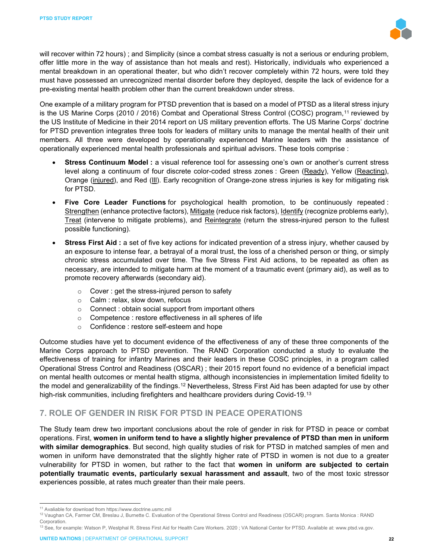

will recover within 72 hours) ; and Simplicity (since a combat stress casualty is not a serious or enduring problem, offer little more in the way of assistance than hot meals and rest). Historically, individuals who experienced a mental breakdown in an operational theater, but who didn't recover completely within 72 hours, were told they must have possessed an unrecognized mental disorder before they deployed, despite the lack of evidence for a pre-existing mental health problem other than the current breakdown under stress.

One example of a military program for PTSD prevention that is based on a model of PTSD as a literal stress injury is the US Marine Corps (2010 / 2016) Combat and Operational Stress Control (COSC) program,<sup>[11](#page-21-0)</sup> reviewed by the US Institute of Medicine in their 2014 report on US military prevention efforts. The US Marine Corps' doctrine for PTSD prevention integrates three tools for leaders of military units to manage the mental health of their unit members. All three were developed by operationally experienced Marine leaders with the assistance of operationally experienced mental health professionals and spiritual advisors. These tools comprise :

- **Stress Continuum Model :** a visual reference tool for assessing one's own or another's current stress level along a continuum of four discrete color-coded stress zones : Green (Ready), Yellow (Reacting), Orange (injured), and Red (III). Early recognition of Orange-zone stress injuries is key for mitigating risk for PTSD.
- **Five Core Leader Functions** for psychological health promotion, to be continuously repeated : Strengthen (enhance protective factors), Mitigate (reduce risk factors), Identify (recognize problems early), Treat (intervene to mitigate problems), and Reintegrate (return the stress-injured person to the fullest possible functioning).
- **Stress First Aid :** a set of five key actions for indicated prevention of a stress injury, whether caused by an exposure to intense fear, a betrayal of a moral trust, the loss of a cherished person or thing, or simply chronic stress accumulated over time. The five Stress First Aid actions, to be repeated as often as necessary, are intended to mitigate harm at the moment of a traumatic event (primary aid), as well as to promote recovery afterwards (secondary aid).
	- $\circ$  Cover : get the stress-injured person to safety
	- o Calm : relax, slow down, refocus
	- o Connect : obtain social support from important others
	- o Competence : restore effectiveness in all spheres of life
	- o Confidence : restore self-esteem and hope

Outcome studies have yet to document evidence of the effectiveness of any of these three components of the Marine Corps approach to PTSD prevention. The RAND Corporation conducted a study to evaluate the effectiveness of training for infantry Marines and their leaders in these COSC principles, in a program called Operational Stress Control and Readiness (OSCAR) ; their 2015 report found no evidence of a beneficial impact on mental health outcomes or mental health stigma, although inconsistencies in implementation limited fidelity to the model and generalizability of the findings.<sup>[12](#page-21-1)</sup> Nevertheless, Stress First Aid has been adapted for use by other high-risk communities, including firefighters and healthcare providers during Covid-19.[13](#page-21-2)

# **7. ROLE OF GENDER IN RISK FOR PTSD IN PEACE OPERATIONS**

The Study team drew two important conclusions about the role of gender in risk for PTSD in peace or combat operations. First, **women in uniform tend to have a slightly higher prevalence of PTSD than men in uniform with similar demographics**. But second, high quality studies of risk for PTSD in matched samples of men and women in uniform have demonstrated that the slightly higher rate of PTSD in women is not due to a greater vulnerability for PTSD in women, but rather to the fact that **women in uniform are subjected to certain potentially traumatic events, particularly sexual harassment and assault**, two of the most toxic stressor experiences possible, at rates much greater than their male peers.

<span id="page-21-0"></span><sup>11</sup> Avaliable for download from https://www.doctrine.usmc.mil

<span id="page-21-1"></span><sup>12</sup> Vaughan CA, Farmer CM, Breslau J, Burnette C. Evaluation of the Operational Stress Control and Readiness (OSCAR) program. Santa Monica : RAND Corporation.

<span id="page-21-2"></span><sup>13</sup> See, for example: Watson P, Westphal R. Stress First Aid for Health Care Workers. 2020 ; VA National Center for PTSD. Available at: www.ptsd.va.gov.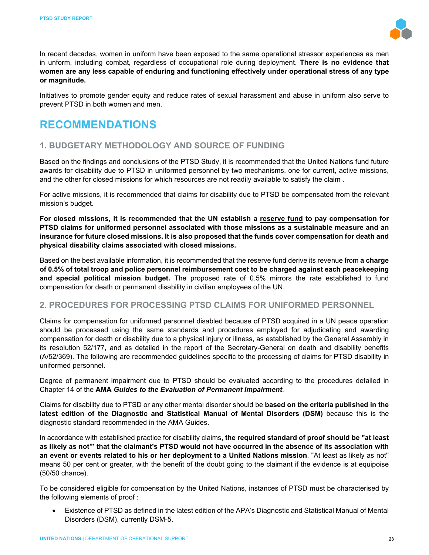

In recent decades, women in uniform have been exposed to the same operational stressor experiences as men in unform, including combat, regardless of occupational role during deployment. **There is no evidence that women are any less capable of enduring and functioning effectively under operational stress of any type or magnitude.**

Initiatives to promote gender equity and reduce rates of sexual harassment and abuse in uniform also serve to prevent PTSD in both women and men.

# **RECOMMENDATIONS**

## **1. BUDGETARY METHODOLOGY AND SOURCE OF FUNDING**

Based on the findings and conclusions of the PTSD Study, it is recommended that the United Nations fund future awards for disability due to PTSD in uniformed personnel by two mechanisms, one for current, active missions, and the other for closed missions for which resources are not readily available to satisfy the claim .

For active missions, it is recommended that claims for disability due to PTSD be compensated from the relevant mission's budget.

**For closed missions, it is recommended that the UN establish a reserve fund to pay compensation for PTSD claims for uniformed personnel associated with those missions as a sustainable measure and an insurance for future closed missions. It is also proposed that the funds cover compensation for death and physical disability claims associated with closed missions.**

Based on the best available information, it is recommended that the reserve fund derive its revenue from **a charge of 0.5% of total troop and police personnel reimbursement cost to be charged against each peacekeeping and special political mission budget.** The proposed rate of 0.5% mirrors the rate established to fund compensation for death or permanent disability in civilian employees of the UN.

#### **2. PROCEDURES FOR PROCESSING PTSD CLAIMS FOR UNIFORMED PERSONNEL**

Claims for compensation for uniformed personnel disabled because of PTSD acquired in a UN peace operation should be processed using the same standards and procedures employed for adjudicating and awarding compensation for death or disability due to a physical injury or illness, as established by the General Assembly in its resolution 52/177, and as detailed in the report of the Secretary-General on death and disability benefits (A/52/369). The following are recommended guidelines specific to the processing of claims for PTSD disability in uniformed personnel.

Degree of permanent impairment due to PTSD should be evaluated according to the procedures detailed in Chapter 14 of the **AMA** *Guides to the Evaluation of Permanent Impairment*.

Claims for disability due to PTSD or any other mental disorder should be **based on the criteria published in the latest edition of the Diagnostic and Statistical Manual of Mental Disorders (DSM)** because this is the diagnostic standard recommended in the AMA Guides.

In accordance with established practice for disability claims, **the required standard of proof should be "at least as likely as not"' that the claimant's PTSD would not have occurred in the absence of its association with an event or events related to his or her deployment to a United Nations mission**. "At least as likely as not'' means 50 per cent or greater, with the benefit of the doubt going to the claimant if the evidence is at equipoise (50/50 chance).

To be considered eligible for compensation by the United Nations, instances of PTSD must be characterised by the following elements of proof :

• Existence of PTSD as defined in the latest edition of the APA's Diagnostic and Statistical Manual of Mental Disorders (DSM), currently DSM-5.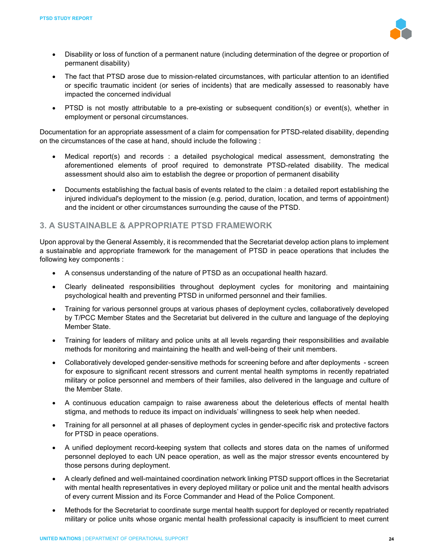

- Disability or loss of function of a permanent nature (including determination of the degree or proportion of permanent disability)
- The fact that PTSD arose due to mission-related circumstances, with particular attention to an identified or specific traumatic incident (or series of incidents) that are medically assessed to reasonably have impacted the concerned individual
- PTSD is not mostly attributable to a pre-existing or subsequent condition(s) or event(s), whether in employment or personal circumstances.

Documentation for an appropriate assessment of a claim for compensation for PTSD-related disability, depending on the circumstances of the case at hand, should include the following :

- Medical report(s) and records : a detailed psychological medical assessment, demonstrating the aforementioned elements of proof required to demonstrate PTSD-related disability. The medical assessment should also aim to establish the degree or proportion of permanent disability
- Documents establishing the factual basis of events related to the claim : a detailed report establishing the injured individual's deployment to the mission (e.g. period, duration, location, and terms of appointment) and the incident or other circumstances surrounding the cause of the PTSD.

## **3. A SUSTAINABLE & APPROPRIATE PTSD FRAMEWORK**

Upon approval by the General Assembly, it is recommended that the Secretariat develop action plans to implement a sustainable and appropriate framework for the management of PTSD in peace operations that includes the following key components :

- A consensus understanding of the nature of PTSD as an occupational health hazard.
- Clearly delineated responsibilities throughout deployment cycles for monitoring and maintaining psychological health and preventing PTSD in uniformed personnel and their families.
- Training for various personnel groups at various phases of deployment cycles, collaboratively developed by T/PCC Member States and the Secretariat but delivered in the culture and language of the deploying Member State.
- Training for leaders of military and police units at all levels regarding their responsibilities and available methods for monitoring and maintaining the health and well-being of their unit members.
- Collaboratively developed gender-sensitive methods for screening before and after deployments screen for exposure to significant recent stressors and current mental health symptoms in recently repatriated military or police personnel and members of their families, also delivered in the language and culture of the Member State.
- A continuous education campaign to raise awareness about the deleterious effects of mental health stigma, and methods to reduce its impact on individuals' willingness to seek help when needed.
- Training for all personnel at all phases of deployment cycles in gender-specific risk and protective factors for PTSD in peace operations.
- A unified deployment record-keeping system that collects and stores data on the names of uniformed personnel deployed to each UN peace operation, as well as the major stressor events encountered by those persons during deployment.
- A clearly defined and well-maintained coordination network linking PTSD support offices in the Secretariat with mental health representatives in every deployed military or police unit and the mental health advisors of every current Mission and its Force Commander and Head of the Police Component.
- Methods for the Secretariat to coordinate surge mental health support for deployed or recently repatriated military or police units whose organic mental health professional capacity is insufficient to meet current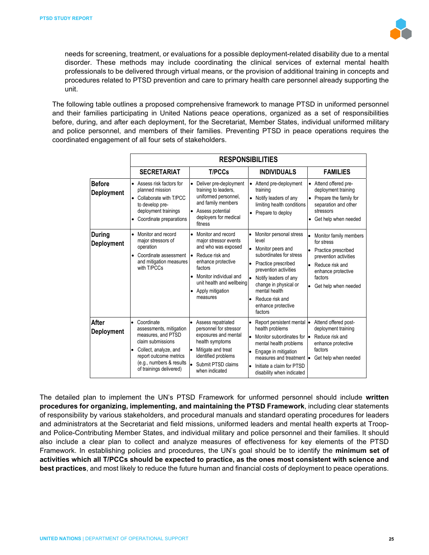

needs for screening, treatment, or evaluations for a possible deployment-related disability due to a mental disorder. These methods may include coordinating the clinical services of external mental health professionals to be delivered through virtual means, or the provision of additional training in concepts and procedures related to PTSD prevention and care to primary health care personnel already supporting the unit.

The following table outlines a proposed comprehensive framework to manage PTSD in uniformed personnel and their families participating in United Nations peace operations, organized as a set of responsibilities before, during, and after each deployment, for the Secretariat, Member States, individual uniformed military and police personnel, and members of their families. Preventing PTSD in peace operations requires the coordinated engagement of all four sets of stakeholders.

|                                    | <b>RESPONSIBILITIES</b>                                                                                                                                                                                 |                                                                                                                                                                                                                    |                                                                                                                                                                                                                                                                                         |                                                                                                                                                                                    |  |  |
|------------------------------------|---------------------------------------------------------------------------------------------------------------------------------------------------------------------------------------------------------|--------------------------------------------------------------------------------------------------------------------------------------------------------------------------------------------------------------------|-----------------------------------------------------------------------------------------------------------------------------------------------------------------------------------------------------------------------------------------------------------------------------------------|------------------------------------------------------------------------------------------------------------------------------------------------------------------------------------|--|--|
|                                    | <b>SECRETARIAT</b>                                                                                                                                                                                      | <b>T/PCCs</b>                                                                                                                                                                                                      | <b>INDIVIDUALS</b>                                                                                                                                                                                                                                                                      | <b>FAMILIES</b>                                                                                                                                                                    |  |  |
| <b>Before</b><br>Deployment        | Assess risk factors for<br>$\bullet$<br>planned mission<br>Collaborate with T/PCC<br>to develop pre-<br>deployment trainings<br>Coordinate preparations<br>$\bullet$                                    | Deliver pre-deployment<br>training to leaders,<br>uniformed personnel,<br>and family members<br>Assess potential<br>deployers for medical<br>fitness                                                               | Attend pre-deployment<br>$\bullet$<br>training<br>Notify leaders of any<br>limiting health conditions<br>Prepare to deploy<br>٠                                                                                                                                                         | Attend offered pre-<br>$\bullet$<br>deployment training<br>Prepare the family for<br>$\bullet$<br>separation and other<br>stressors<br>Get help when needed<br>$\bullet$           |  |  |
| <b>During</b><br><b>Deployment</b> | Monitor and record<br>major stressors of<br>operation<br>Coordinate assessment<br>and mitigation measures<br>with T/PCCs                                                                                | Monitor and record<br>major stressor events<br>and who was exposed<br>Reduce risk and<br>enhance protective<br>factors<br>Monitor individual and<br>unit health and wellbeing<br>Apply mitigation<br>٠<br>measures | Monitor personal stress<br>level<br>Monitor peers and<br>l.<br>subordinates for stress<br>Practice prescribed<br>$\bullet$<br>prevention activities<br>Notify leaders of any<br>change in physical or<br>mental health<br>Reduce risk and<br>$\bullet$<br>enhance protective<br>factors | Monitor family members<br>for stress<br>۱.<br>Practice prescribed<br>prevention activities<br>Reduce risk and<br>۱.<br>enhance protective<br>factors<br>Get help when needed<br>lo |  |  |
| After<br>Deployment                | Coordinate<br>$\bullet$<br>assessments, mitigation<br>measures, and PTSD<br>claim submissions<br>Collect, analyze, and<br>report outcome metrics<br>(e.g., numbers & results<br>of trainings delivered) | $\bullet$<br>Assess repatriated<br>personnel for stressor<br>exposures and mental<br>health symptoms<br>Mitigate and treat<br>l.<br>identified problems<br>Submit PTSD claims<br>I۰<br>when indicated              | Report persistent mental<br>health problems<br>Monitor subordinates for<br>۱.<br>mental health problems<br>Engage in mitigation<br>$\bullet$<br>measures and treatment <b>.</b><br>Initiate a claim for PTSD<br>disability when indicated                                               | Attend offered post-<br>deployment training<br>Reduce risk and<br>le<br>enhance protective<br>factors<br>Get help when needed                                                      |  |  |

The detailed plan to implement the UN's PTSD Framework for unformed personnel should include **written procedures for organizing, implementing, and maintaining the PTSD Framework**, including clear statements of responsibility by various stakeholders, and procedural manuals and standard operating procedures for leaders and administrators at the Secretariat and field missions, uniformed leaders and mental health experts at Troopand Police-Contributing Member States, and individual military and police personnel and their families. It should also include a clear plan to collect and analyze measures of effectiveness for key elements of the PTSD Framework. In establishing policies and procedures, the UN's goal should be to identify the **minimum set of activities which all T/PCCs should be expected to practice, as the ones most consistent with science and best practices**, and most likely to reduce the future human and financial costs of deployment to peace operations.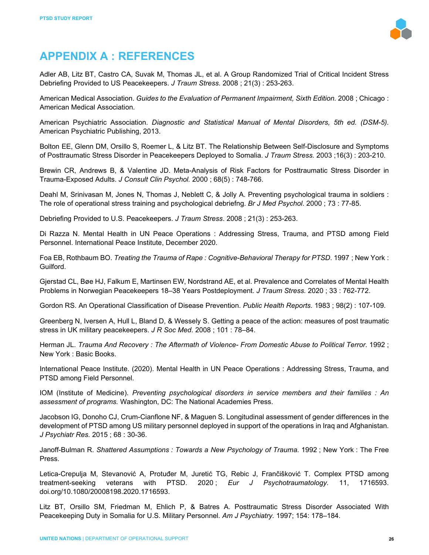

# **APPENDIX A : REFERENCES**

Adler AB, Litz BT, Castro CA, Suvak M, Thomas JL, et al. A Group Randomized Trial of Critical Incident Stress Debriefing Provided to US Peacekeepers. *J Traum Stress.* 2008 ; 21(3) : 253-263.

American Medical Association. *Guides to the Evaluation of Permanent Impairment, Sixth Edition.* 2008 ; Chicago : American Medical Association.

American Psychiatric Association. *Diagnostic and Statistical Manual of Mental Disorders, 5th ed. (DSM-5).* American Psychiatric Publishing, 2013.

Bolton EE, Glenn DM, Orsillo S, Roemer L, & Litz BT. The Relationship Between Self-Disclosure and Symptoms of Posttraumatic Stress Disorder in Peacekeepers Deployed to Somalia. *J Traum Stress.* 2003 ;16(3) : 203-210.

Brewin CR, Andrews B, & Valentine JD. Meta-Analysis of Risk Factors for Posttraumatic Stress Disorder in Trauma-Exposed Adults. *J Consult Clin Psychol.* 2000 ; 68(5) : 748-766.

Deahl M, Srinivasan M, Jones N, Thomas J, Neblett C, & Jolly A. Preventing psychological trauma in soldiers : The role of operational stress training and psychological debriefng. *Br J Med Psychol*. 2000 ; 73 : 77-85.

Debriefing Provided to U.S. Peacekeepers. *J Traum Stress*. 2008 ; 21(3) : 253-263.

Di Razza N. Mental Health in UN Peace Operations : Addressing Stress, Trauma, and PTSD among Field Personnel. International Peace Institute, December 2020.

Foa EB, Rothbaum BO. *Treating the Trauma of Rape : Cognitive-Behavioral Therapy for PTSD*. 1997 ; New York : Guilford.

Gjerstad CL, Bøe HJ, Falkum E, Martinsen EW, Nordstrand AE, et al. Prevalence and Correlates of Mental Health Problems in Norwegian Peacekeepers 18–38 Years Postdeployment. *J Traum Stress.* 2020 ; 33 : 762-772.

Gordon RS. An Operational Classification of Disease Prevention. *Public Health Reports.* 1983 ; 98(2) : 107-109.

Greenberg N, Iversen A, Hull L, Bland D, & Wessely S. Getting a peace of the action: measures of post traumatic stress in UK military peacekeepers. *J R Soc Med*. 2008 ; 101 : 78–84.

Herman JL. *Trauma And Recovery : The Aftermath of Violence- From Domestic Abuse to Political Terror*. 1992 ; New York : Basic Books.

International Peace Institute. (2020). Mental Health in UN Peace Operations : Addressing Stress, Trauma, and PTSD among Field Personnel.

IOM (Institute of Medicine). *Preventing psychological disorders in service members and their families : An assessment of programs.* Washington, DC: The National Academies Press.

Jacobson IG, Donoho CJ, Crum-Cianflone NF, & Maguen S. Longitudinal assessment of gender differences in the development of PTSD among US military personnel deployed in support of the operations in Iraq and Afghanistan. *J Psychiatr Res.* 2015 ; 68 : 30-36.

Janoff-Bulman R. *Shattered Assumptions : Towards a New Psychology of Trauma.* 1992 ; New York : The Free Press.

Letica-Crepulja M, Stevanović A, Protuđer M, Juretić TG, Rebic J, Frančišković T. Complex PTSD among treatment-seeking veterans with PTSD. 2020 ; *Eur J Psychotraumatology.* 11, 1716593. doi.org/10.1080/20008198.2020.1716593.

Litz BT, Orsillo SM, Friedman M, Ehlich P, & Batres A. Posttraumatic Stress Disorder Associated With Peacekeeping Duty in Somalia for U.S. Military Personnel. *Am J Psychiatry.* 1997; 154: 178–184.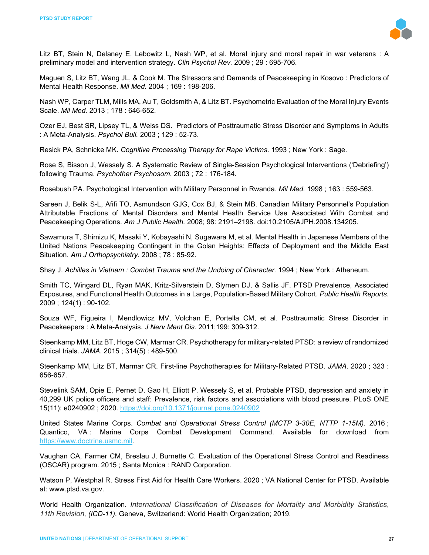

Litz BT, Stein N, Delaney E, Lebowitz L, Nash WP, et al. Moral injury and moral repair in war veterans : A preliminary model and intervention strategy. *Clin Psychol Rev.* 2009 ; 29 : 695-706.

Maguen S, Litz BT, Wang JL, & Cook M. The Stressors and Demands of Peacekeeping in Kosovo : Predictors of Mental Health Response. *Mil Med.* 2004 ; 169 : 198-206.

Nash WP, Carper TLM, Mills MA, Au T, Goldsmith A, & Litz BT. Psychometric Evaluation of the Moral Injury Events Scale. *Mil Med.* 2013 ; 178 : 646-652.

Ozer EJ, Best SR, Lipsey TL, & Weiss DS. Predictors of Posttraumatic Stress Disorder and Symptoms in Adults : A Meta-Analysis. *Psychol Bull.* 2003 ; 129 : 52-73.

Resick PA, Schnicke MK. *Cognitive Processing Therapy for Rape Victims*. 1993 ; New York : Sage.

Rose S, Bisson J, Wessely S. A Systematic Review of Single-Session Psychological Interventions ('Debriefing') following Trauma. *Psychother Psychosom*. 2003 ; 72 : 176-184.

Rosebush PA. Psychological Intervention with Military Personnel in Rwanda. *Mil Med.* 1998 ; 163 : 559-563.

Sareen J, Belik S-L, Afifi TO, Asmundson GJG, Cox BJ, & Stein MB. Canadian Military Personnel's Population Attributable Fractions of Mental Disorders and Mental Health Service Use Associated With Combat and Peacekeeping Operations. *Am J Public Health.* 2008; 98: 2191–2198. doi:10.2105/AJPH.2008.134205.

Sawamura T, Shimizu K, Masaki Y, Kobayashi N, Sugawara M, et al. Mental Health in Japanese Members of the United Nations Peacekeeping Contingent in the Golan Heights: Effects of Deployment and the Middle East Situation. *Am J Orthopsychiatry*. 2008 ; 78 : 85-92.

Shay J. Achilles in Vietnam : Combat Trauma and the Undoing of Character. 1994 ; New York : Atheneum.

Smith TC, Wingard DL, Ryan MAK, Kritz-Silverstein D, Slymen DJ, & Sallis JF. PTSD Prevalence, Associated Exposures, and Functional Health Outcomes in a Large, Population-Based Military Cohort. *Public Health Reports.*  2009 ; 124(1) : 90-102.

Souza WF, Figueira I, Mendlowicz MV, Volchan E, Portella CM, et al. Posttraumatic Stress Disorder in Peacekeepers : A Meta-Analysis. *J Nerv Ment Dis.* 2011;199: 309-312.

Steenkamp MM, Litz BT, Hoge CW, Marmar CR. Psychotherapy for military-related PTSD: a review of randomized clinical trials. *JAMA*. 2015 ; 314(5) : 489-500.

Steenkamp MM, Litz BT, Marmar CR. First-line Psychotherapies for Military-Related PTSD. *JAMA*. 2020 ; 323 : 656-657.

Stevelink SAM, Opie E, Pernet D, Gao H, Elliott P, Wessely S, et al. Probable PTSD, depression and anxiety in 40,299 UK police officers and staff: Prevalence, risk factors and associations with blood pressure. PLoS ONE 15(11): e0240902 ; 2020.<https://doi.org/10.1371/journal.pone.0240902>

United States Marine Corps. *Combat and Operational Stress Control (MCTP 3-30E, NTTP 1-15M).* 2016 ; Quantico, VA : Marine Corps Combat Development Command. Available for download from [https://www.doctrine.usmc.mil.](https://www.doctrine.usmc.mil/)

Vaughan CA, Farmer CM, Breslau J, Burnette C. Evaluation of the Operational Stress Control and Readiness (OSCAR) program. 2015 ; Santa Monica : RAND Corporation.

Watson P, Westphal R. Stress First Aid for Health Care Workers. 2020 ; VA National Center for PTSD. Available at: www.ptsd.va.gov.

World Health Organization. *International Classification of Diseases for Mortality and Morbidity Statistics*, *11th Revision, (ICD-11).* Geneva, Switzerland: World Health Organization; 2019.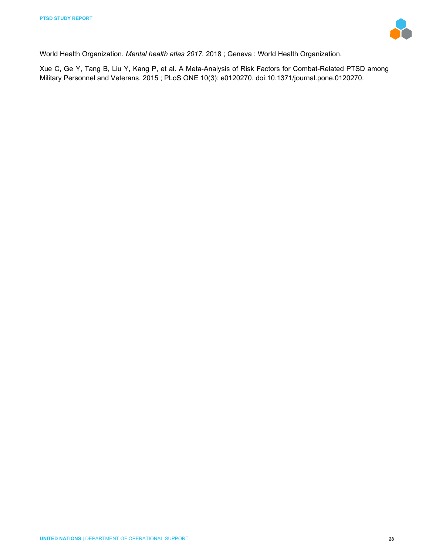

World Health Organization. *Mental health atlas 2017.* 2018 ; Geneva : World Health Organization.

Xue C, Ge Y, Tang B, Liu Y, Kang P, et al. A Meta-Analysis of Risk Factors for Combat-Related PTSD among Military Personnel and Veterans. 2015 ; PLoS ONE 10(3): e0120270. doi:10.1371/journal.pone.0120270.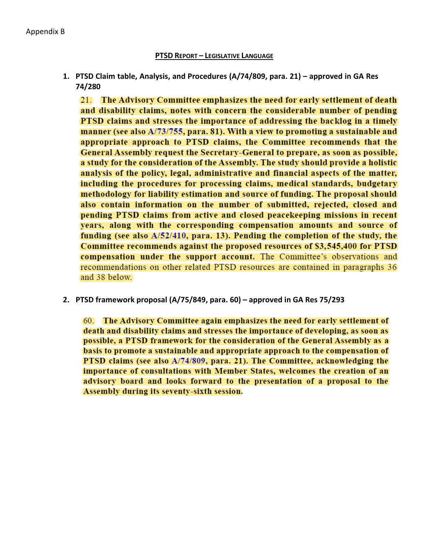#### **PTSD REPORT – LEGISLATIVE LANGUAGE**

**1. PTSD Claim table, Analysis, and Procedures (A/74/809, para. 21) – approved in GA Res 74/280**

21. The Advisory Committee emphasizes the need for early settlement of death and disability claims, notes with concern the considerable number of pending PTSD claims and stresses the importance of addressing the backlog in a timely manner (see also A/73/755, para. 81). With a view to promoting a sustainable and appropriate approach to PTSD claims, the Committee recommends that the General Assembly request the Secretary-General to prepare, as soon as possible, a study for the consideration of the Assembly. The study should provide a holistic analysis of the policy, legal, administrative and financial aspects of the matter, including the procedures for processing claims, medical standards, budgetary methodology for liability estimation and source of funding. The proposal should also contain information on the number of submitted, rejected, closed and pending PTSD claims from active and closed peacekeeping missions in recent years, along with the corresponding compensation amounts and source of funding (see also A/52/410, para. 13). Pending the completion of the study, the Committee recommends against the proposed resources of \$3,545,400 for PTSD compensation under the support account. The Committee's observations and recommendations on other related PTSD resources are contained in paragraphs 36 and 38 below.

**2. PTSD framework proposal (A/75/849, para. 60) – approved in GA Res 75/293**

60. The Advisory Committee again emphasizes the need for early settlement of death and disability claims and stresses the importance of developing, as soon as possible, a PTSD framework for the consideration of the General Assembly as a basis to promote a sustainable and appropriate approach to the compensation of PTSD claims (see also A/74/809, para. 21). The Committee, acknowledging the importance of consultations with Member States, welcomes the creation of an advisory board and looks forward to the presentation of a proposal to the Assembly during its seventy-sixth session.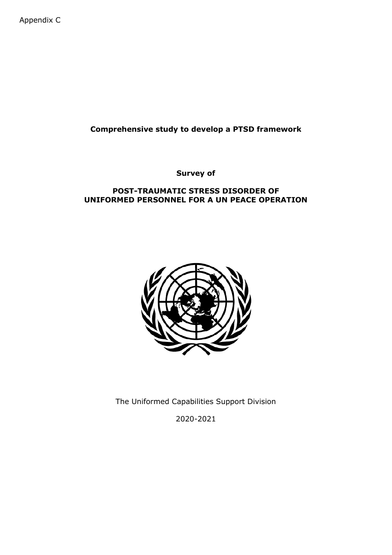Appendix C

# **Comprehensive study to develop a PTSD framework**

**Survey of**

### **POST-TRAUMATIC STRESS DISORDER OF UNIFORMED PERSONNEL FOR A UN PEACE OPERATION**



The Uniformed Capabilities Support Division

2020-2021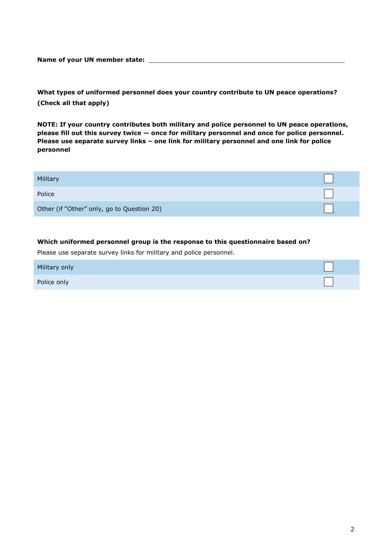Name of your UN member state: \_\_\_\_\_

**What types of uniformed personnel does your country contribute to UN peace operations? (Check all that apply)**

**NOTE: If your country contributes both military and police personnel to UN peace operations, please fill out this survey twice — once for military personnel and once for police personnel. Please use separate survey links – one link for military personnel and one link for police personnel**

| Military                                   |  |
|--------------------------------------------|--|
| Police                                     |  |
| Other (if "Other" only, go to Question 20) |  |

#### **Which uniformed personnel group is the response to this questionnaire based on?**

Please use separate survey links for military and police personnel.

| Military only |  |
|---------------|--|
| Police only   |  |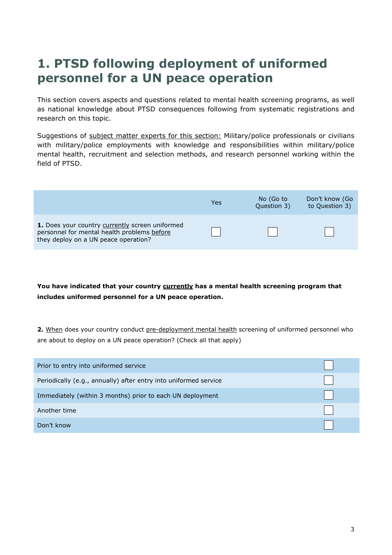# **1. PTSD following deployment of uniformed personnel for a UN peace operation**

This section covers aspects and questions related to mental health screening programs, as well as national knowledge about PTSD consequences following from systematic registrations and research on this topic.

Suggestions of subject matter experts for this section: Military/police professionals or civilians with military/police employments with knowledge and responsibilities within military/police mental health, recruitment and selection methods, and research personnel working within the field of PTSD.



**You have indicated that your country currently has a mental health screening program that includes uniformed personnel for a UN peace operation.** 

**2.** When does your country conduct pre-deployment mental health screening of uniformed personnel who are about to deploy on a UN peace operation? (Check all that apply)

| Prior to entry into uniformed service                            |  |
|------------------------------------------------------------------|--|
| Periodically (e.g., annually) after entry into uniformed service |  |
| Immediately (within 3 months) prior to each UN deployment        |  |
| Another time                                                     |  |
| Don't know                                                       |  |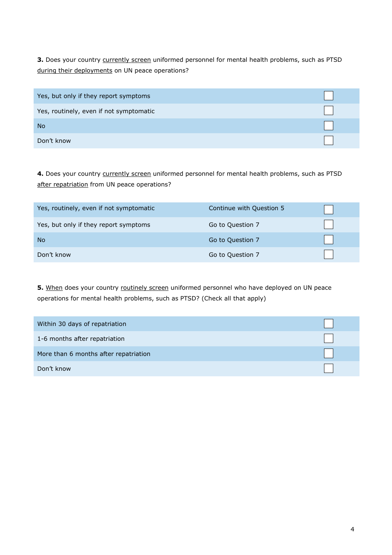**3.** Does your country currently screen uniformed personnel for mental health problems, such as PTSD during their deployments on UN peace operations?

| Yes, but only if they report symptoms   |  |
|-----------------------------------------|--|
| Yes, routinely, even if not symptomatic |  |
| <b>No</b>                               |  |
| Don't know                              |  |

4. Does your country currently screen uniformed personnel for mental health problems, such as PTSD after repatriation from UN peace operations?

| Yes, routinely, even if not symptomatic | Continue with Question 5 |  |
|-----------------------------------------|--------------------------|--|
| Yes, but only if they report symptoms   | Go to Question 7         |  |
| No                                      | Go to Question 7         |  |
| Don't know                              | Go to Question 7         |  |

**5.** When does your country routinely screen uniformed personnel who have deployed on UN peace operations for mental health problems, such as PTSD? (Check all that apply)

| Within 30 days of repatriation        |  |
|---------------------------------------|--|
| 1-6 months after repatriation         |  |
| More than 6 months after repatriation |  |
| Don't know                            |  |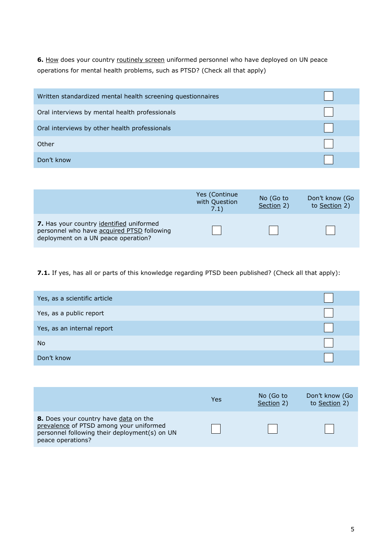**6.** How does your country routinely screen uniformed personnel who have deployed on UN peace operations for mental health problems, such as PTSD? (Check all that apply)

| Written standardized mental health screening questionnaires |  |
|-------------------------------------------------------------|--|
| Oral interviews by mental health professionals              |  |
| Oral interviews by other health professionals               |  |
| Other                                                       |  |
| Don't know                                                  |  |

|                                                                                                                               | Yes (Continue)<br>with Question<br>7.1) | No (Go to<br>Section 2) | Don't know (Go<br>to Section 2) |
|-------------------------------------------------------------------------------------------------------------------------------|-----------------------------------------|-------------------------|---------------------------------|
| 7. Has your country identified uniformed<br>personnel who have acquired PTSD following<br>deployment on a UN peace operation? |                                         |                         |                                 |

**7.1.** If yes, has all or parts of this knowledge regarding PTSD been published? (Check all that apply):

| Yes, as a scientific article |  |
|------------------------------|--|
| Yes, as a public report      |  |
| Yes, as an internal report   |  |
| <b>No</b>                    |  |
| Don't know                   |  |

|                                                                                                                                                        | Yes | No (Go to<br>Section 2) | Don't know (Go<br>to Section 2) |
|--------------------------------------------------------------------------------------------------------------------------------------------------------|-----|-------------------------|---------------------------------|
| 8. Does your country have data on the<br>prevalence of PTSD among your uniformed<br>personnel following their deployment(s) on UN<br>peace operations? |     |                         |                                 |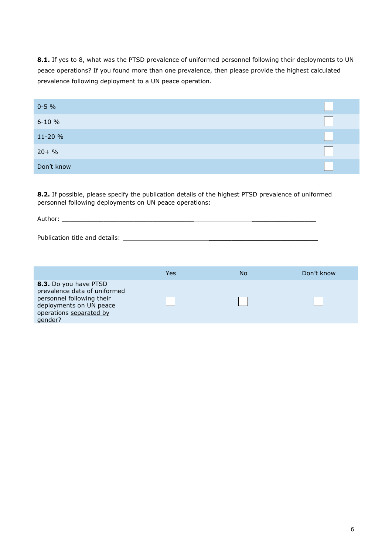8.1. If yes to 8, what was the PTSD prevalence of uniformed personnel following their deployments to UN peace operations? If you found more than one prevalence, then please provide the highest calculated prevalence following deployment to a UN peace operation.

| $0 - 5 %$  |  |
|------------|--|
| $6 - 10 %$ |  |
| 11-20 %    |  |
| $20 + %$   |  |
| Don't know |  |

**8.2.** If possible, please specify the publication details of the highest PTSD prevalence of uniformed personnel following deployments on UN peace operations:

| $\ddot{\phantom{1}}$<br>$\mathbf{v}$<br>11FA |  |  |  |  |
|----------------------------------------------|--|--|--|--|
|                                              |  |  |  |  |

Publication title and details: \_\_\_\_\_\_\_\_\_\_\_\_\_\_\_\_\_\_\_\_\_\_\_\_\_\_\_\_\_

|                                                                                                                                                     | Yes | No | Don't know |
|-----------------------------------------------------------------------------------------------------------------------------------------------------|-----|----|------------|
| 8.3. Do you have PTSD<br>prevalence data of uniformed<br>personnel following their<br>deployments on UN peace<br>operations separated by<br>qender? |     |    |            |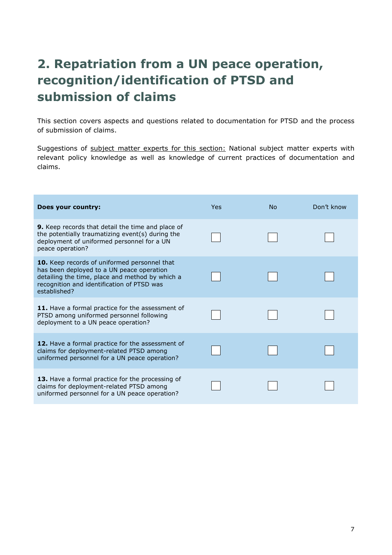# **2. Repatriation from a UN peace operation, recognition/identification of PTSD and submission of claims**

This section covers aspects and questions related to documentation for PTSD and the process of submission of claims.

Suggestions of subject matter experts for this section: National subject matter experts with relevant policy knowledge as well as knowledge of current practices of documentation and claims.

| Does your country:                                                                                                                                                                                                | Yes | No. | Don't know |
|-------------------------------------------------------------------------------------------------------------------------------------------------------------------------------------------------------------------|-----|-----|------------|
| <b>9.</b> Keep records that detail the time and place of<br>the potentially traumatizing event(s) during the<br>deployment of uniformed personnel for a UN<br>peace operation?                                    |     |     |            |
| <b>10.</b> Keep records of uniformed personnel that<br>has been deployed to a UN peace operation<br>detailing the time, place and method by which a<br>recognition and identification of PTSD was<br>established? |     |     |            |
| 11. Have a formal practice for the assessment of<br>PTSD among uniformed personnel following<br>deployment to a UN peace operation?                                                                               |     |     |            |
| 12. Have a formal practice for the assessment of<br>claims for deployment-related PTSD among<br>uniformed personnel for a UN peace operation?                                                                     |     |     |            |
| <b>13.</b> Have a formal practice for the processing of<br>claims for deployment-related PTSD among<br>uniformed personnel for a UN peace operation?                                                              |     |     |            |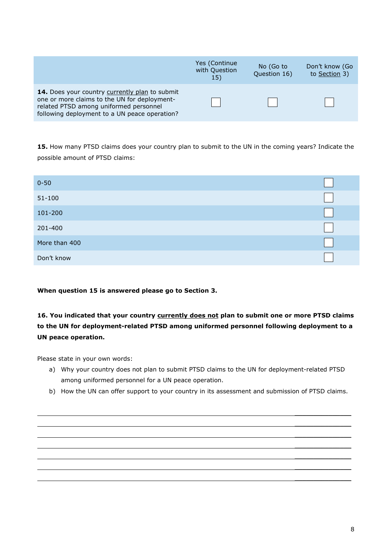|                                                                                                                                                                                                  | Yes (Continue<br>with Question<br><b>15)</b> | No (Go to<br>Question 16) | Don't know (Go<br>to Section 3) |
|--------------------------------------------------------------------------------------------------------------------------------------------------------------------------------------------------|----------------------------------------------|---------------------------|---------------------------------|
| <b>14.</b> Does your country currently plan to submit<br>one or more claims to the UN for deployment-<br>related PTSD among uniformed personnel<br>following deployment to a UN peace operation? |                                              |                           |                                 |

**15.** How many PTSD claims does your country plan to submit to the UN in the coming years? Indicate the possible amount of PTSD claims:

| $0 - 50$      |  |
|---------------|--|
| $51 - 100$    |  |
| 101-200       |  |
| 201-400       |  |
| More than 400 |  |
| Don't know    |  |

#### **When question 15 is answered please go to Section 3.**

# **16. You indicated that your country currently does not plan to submit one or more PTSD claims to the UN for deployment-related PTSD among uniformed personnel following deployment to a UN peace operation.**

Please state in your own words:

- a) Why your country does not plan to submit PTSD claims to the UN for deployment-related PTSD among uniformed personnel for a UN peace operation.
- b) How the UN can offer support to your country in its assessment and submission of PTSD claims.

\_\_\_\_\_\_\_\_\_\_\_\_\_\_\_ \_\_\_\_\_\_\_\_\_\_\_\_\_\_\_ \_\_\_\_\_\_\_\_\_\_\_\_\_\_\_  $\overline{\phantom{a}}$  , where  $\overline{\phantom{a}}$ \_\_\_\_\_\_\_\_\_\_\_\_\_\_\_ \_\_\_\_\_\_\_\_\_\_\_\_\_\_\_  $\overline{\phantom{a}}$  , where  $\overline{\phantom{a}}$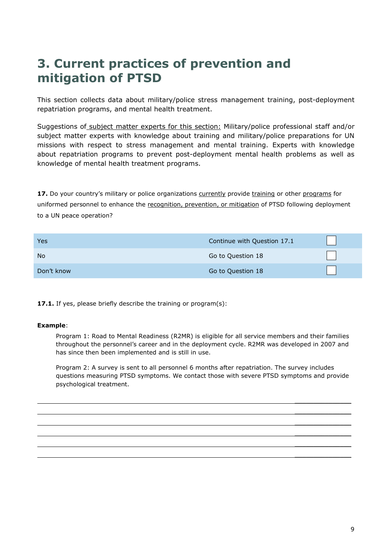# **3. Current practices of prevention and mitigation of PTSD**

This section collects data about military/police stress management training, post-deployment repatriation programs, and mental health treatment.

Suggestions of subject matter experts for this section: Military/police professional staff and/or subject matter experts with knowledge about training and military/police preparations for UN missions with respect to stress management and mental training. Experts with knowledge about repatriation programs to prevent post-deployment mental health problems as well as knowledge of mental health treatment programs.

**17.** Do your country's military or police organizations currently provide training or other programs for uniformed personnel to enhance the recognition, prevention, or mitigation of PTSD following deployment to a UN peace operation?

| Yes        | Continue with Question 17.1 |  |
|------------|-----------------------------|--|
| <b>No</b>  | Go to Question 18           |  |
| Don't know | Go to Question 18           |  |

17.1. If yes, please briefly describe the training or program(s):

#### **Example**:

Program 1: Road to Mental Readiness (R2MR) is eligible for all service members and their families throughout the personnel's career and in the deployment cycle. R2MR was developed in 2007 and has since then been implemented and is still in use.

Program 2: A survey is sent to all personnel 6 months after repatriation. The survey includes questions measuring PTSD symptoms. We contact those with severe PTSD symptoms and provide psychological treatment.

\_\_\_\_\_\_\_\_\_\_\_\_\_\_\_ \_\_\_\_\_\_\_\_\_\_\_\_\_\_\_  $\overline{\phantom{a}}$  , where  $\overline{\phantom{a}}$  $\overline{\phantom{a}}$  , where  $\overline{\phantom{a}}$ \_\_\_\_\_\_\_\_\_\_\_\_\_\_\_  $\overline{\phantom{a}}$  , where  $\overline{\phantom{a}}$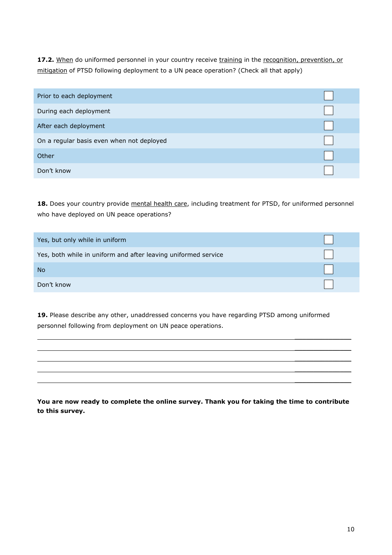17.2. When do uniformed personnel in your country receive training in the recognition, prevention, or mitigation of PTSD following deployment to a UN peace operation? (Check all that apply)

| Prior to each deployment                  |  |
|-------------------------------------------|--|
| During each deployment                    |  |
| After each deployment                     |  |
| On a regular basis even when not deployed |  |
| Other                                     |  |
| Don't know                                |  |

18. Does your country provide mental health care, including treatment for PTSD, for uniformed personnel who have deployed on UN peace operations?

| Yes, but only while in uniform                                 |  |
|----------------------------------------------------------------|--|
| Yes, both while in uniform and after leaving uniformed service |  |
| <b>No</b>                                                      |  |
| Don't know                                                     |  |

19. Please describe any other, unaddressed concerns you have regarding PTSD among uniformed personnel following from deployment on UN peace operations.

**You are now ready to complete the online survey. Thank you for taking the time to contribute to this survey.**

\_\_\_\_\_\_\_\_\_\_\_\_\_\_\_ \_\_\_\_\_\_\_\_\_\_\_\_\_\_\_ \_\_\_\_\_\_\_\_\_\_\_\_\_\_\_ \_\_\_\_\_\_\_\_\_\_\_\_\_\_\_ \_\_\_\_\_\_\_\_\_\_\_\_\_\_\_